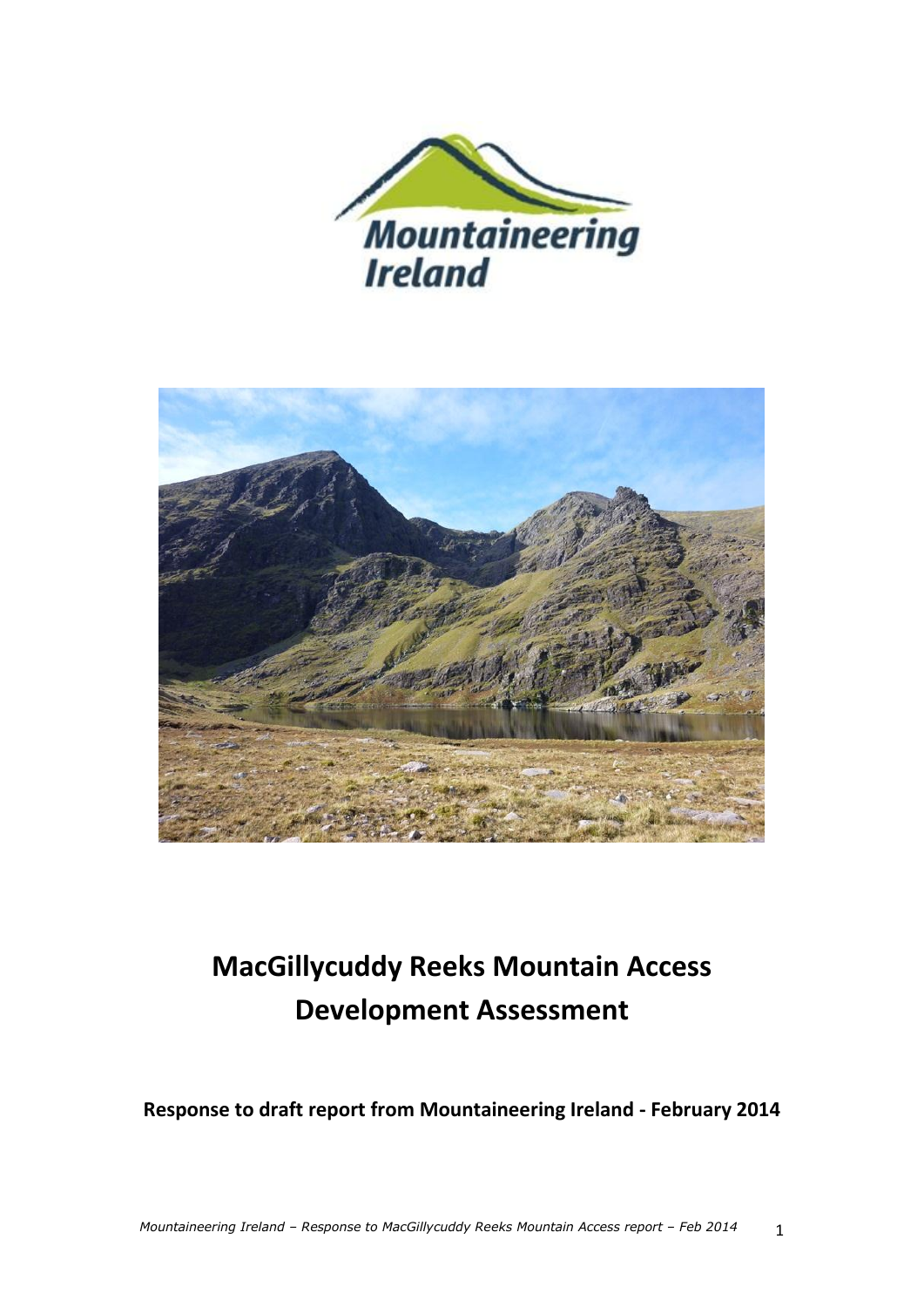



# **MacGillycuddy Reeks Mountain Access Development Assessment**

**Response to draft report from Mountaineering Ireland - February 2014**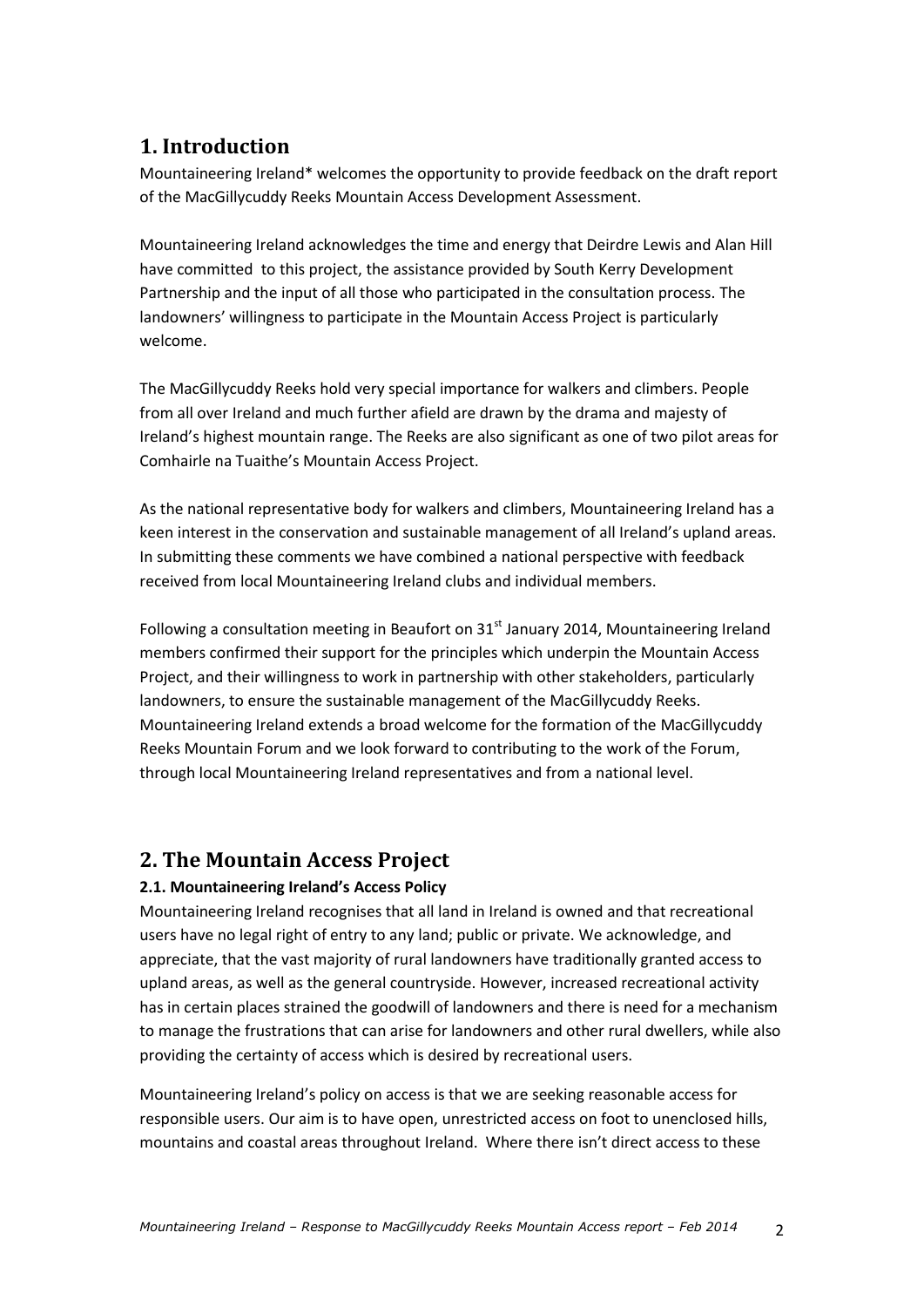### **1. Introduction**

Mountaineering Ireland\* welcomes the opportunity to provide feedback on the draft report of the MacGillycuddy Reeks Mountain Access Development Assessment.

Mountaineering Ireland acknowledges the time and energy that Deirdre Lewis and Alan Hill have committed to this project, the assistance provided by South Kerry Development Partnership and the input of all those who participated in the consultation process. The landowners' willingness to participate in the Mountain Access Project is particularly welcome.

The MacGillycuddy Reeks hold very special importance for walkers and climbers. People from all over Ireland and much further afield are drawn by the drama and majesty of Ireland's highest mountain range. The Reeks are also significant as one of two pilot areas for Comhairle na Tuaithe's Mountain Access Project.

As the national representative body for walkers and climbers, Mountaineering Ireland has a keen interest in the conservation and sustainable management of all Ireland's upland areas. In submitting these comments we have combined a national perspective with feedback received from local Mountaineering Ireland clubs and individual members.

Following a consultation meeting in Beaufort on  $31<sup>st</sup>$  January 2014, Mountaineering Ireland members confirmed their support for the principles which underpin the Mountain Access Project, and their willingness to work in partnership with other stakeholders, particularly landowners, to ensure the sustainable management of the MacGillycuddy Reeks. Mountaineering Ireland extends a broad welcome for the formation of the MacGillycuddy Reeks Mountain Forum and we look forward to contributing to the work of the Forum, through local Mountaineering Ireland representatives and from a national level.

### **2. The Mountain Access Project**

### **2.1. Mountaineering Ireland's Access Policy**

Mountaineering Ireland recognises that all land in Ireland is owned and that recreational users have no legal right of entry to any land; public or private. We acknowledge, and appreciate, that the vast majority of rural landowners have traditionally granted access to upland areas, as well as the general countryside. However, increased recreational activity has in certain places strained the goodwill of landowners and there is need for a mechanism to manage the frustrations that can arise for landowners and other rural dwellers, while also providing the certainty of access which is desired by recreational users.

Mountaineering Ireland's policy on access is that we are seeking reasonable access for responsible users. Our aim is to have open, unrestricted access on foot to unenclosed hills, mountains and coastal areas throughout Ireland. Where there isn't direct access to these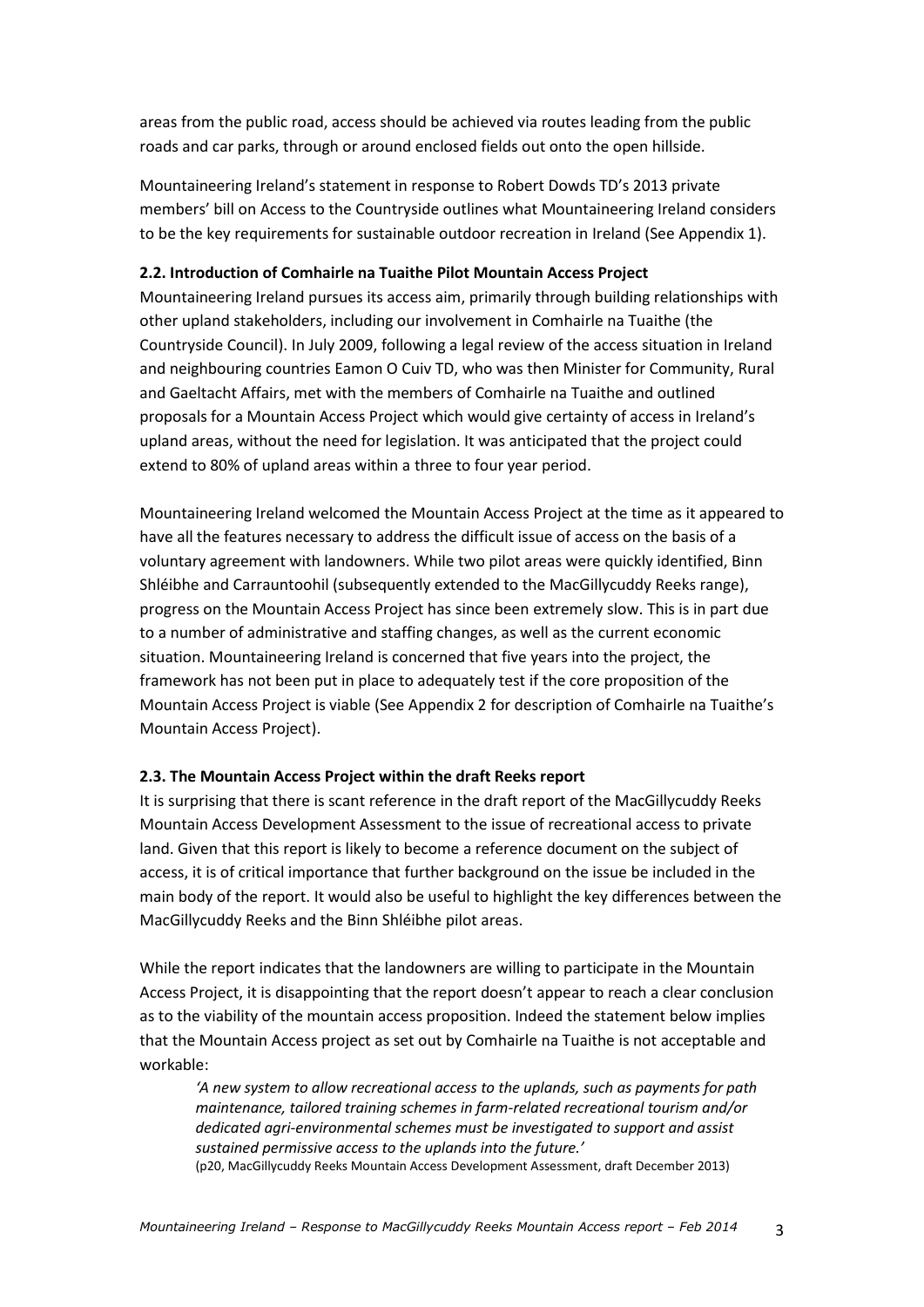areas from the public road, access should be achieved via routes leading from the public roads and car parks, through or around enclosed fields out onto the open hillside.

Mountaineering Ireland's statement in response to Robert Dowds TD's 2013 private members' bill on Access to the Countryside outlines what Mountaineering Ireland considers to be the key requirements for sustainable outdoor recreation in Ireland (See Appendix 1).

#### **2.2. Introduction of Comhairle na Tuaithe Pilot Mountain Access Project**

Mountaineering Ireland pursues its access aim, primarily through building relationships with other upland stakeholders, including our involvement in Comhairle na Tuaithe (the Countryside Council). In July 2009, following a legal review of the access situation in Ireland and neighbouring countries Eamon O Cuiv TD, who was then Minister for Community, Rural and Gaeltacht Affairs, met with the members of Comhairle na Tuaithe and outlined proposals for a Mountain Access Project which would give certainty of access in Ireland's upland areas, without the need for legislation. It was anticipated that the project could extend to 80% of upland areas within a three to four year period.

Mountaineering Ireland welcomed the Mountain Access Project at the time as it appeared to have all the features necessary to address the difficult issue of access on the basis of a voluntary agreement with landowners. While two pilot areas were quickly identified, Binn Shléibhe and Carrauntoohil (subsequently extended to the MacGillycuddy Reeks range), progress on the Mountain Access Project has since been extremely slow. This is in part due to a number of administrative and staffing changes, as well as the current economic situation. Mountaineering Ireland is concerned that five years into the project, the framework has not been put in place to adequately test if the core proposition of the Mountain Access Project is viable (See Appendix 2 for description of Comhairle na Tuaithe's Mountain Access Project).

### **2.3. The Mountain Access Project within the draft Reeks report**

It is surprising that there is scant reference in the draft report of the MacGillycuddy Reeks Mountain Access Development Assessment to the issue of recreational access to private land. Given that this report is likely to become a reference document on the subject of access, it is of critical importance that further background on the issue be included in the main body of the report. It would also be useful to highlight the key differences between the MacGillycuddy Reeks and the Binn Shléibhe pilot areas.

While the report indicates that the landowners are willing to participate in the Mountain Access Project, it is disappointing that the report doesn't appear to reach a clear conclusion as to the viability of the mountain access proposition. Indeed the statement below implies that the Mountain Access project as set out by Comhairle na Tuaithe is not acceptable and workable:

*'A new system to allow recreational access to the uplands, such as payments for path maintenance, tailored training schemes in farm-related recreational tourism and/or dedicated agri-environmental schemes must be investigated to support and assist sustained permissive access to the uplands into the future.'* (p20, MacGillycuddy Reeks Mountain Access Development Assessment, draft December 2013)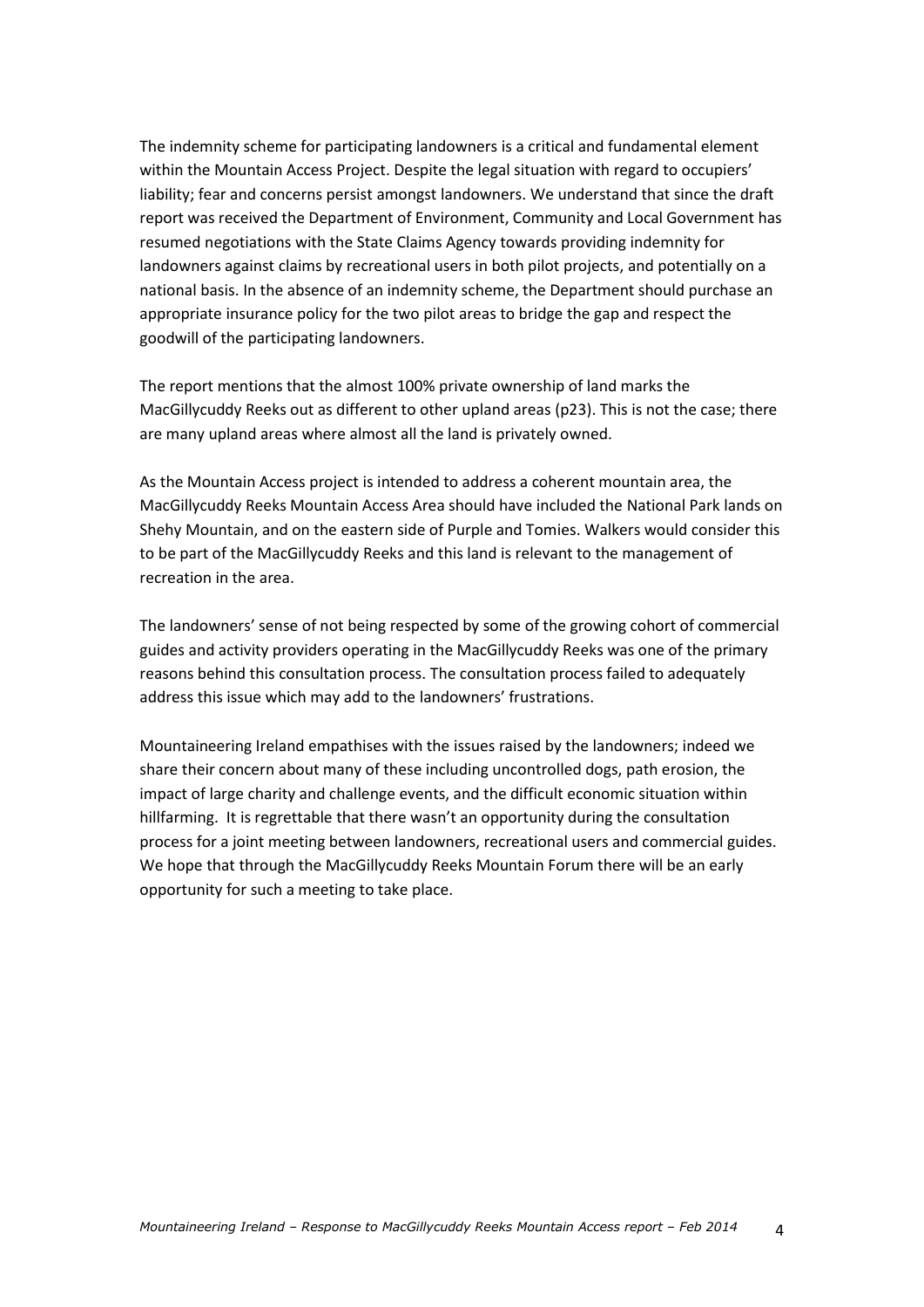The indemnity scheme for participating landowners is a critical and fundamental element within the Mountain Access Project. Despite the legal situation with regard to occupiers' liability; fear and concerns persist amongst landowners. We understand that since the draft report was received the Department of Environment, Community and Local Government has resumed negotiations with the State Claims Agency towards providing indemnity for landowners against claims by recreational users in both pilot projects, and potentially on a national basis. In the absence of an indemnity scheme, the Department should purchase an appropriate insurance policy for the two pilot areas to bridge the gap and respect the goodwill of the participating landowners.

The report mentions that the almost 100% private ownership of land marks the MacGillycuddy Reeks out as different to other upland areas (p23). This is not the case; there are many upland areas where almost all the land is privately owned.

As the Mountain Access project is intended to address a coherent mountain area, the MacGillycuddy Reeks Mountain Access Area should have included the National Park lands on Shehy Mountain, and on the eastern side of Purple and Tomies. Walkers would consider this to be part of the MacGillycuddy Reeks and this land is relevant to the management of recreation in the area.

The landowners' sense of not being respected by some of the growing cohort of commercial guides and activity providers operating in the MacGillycuddy Reeks was one of the primary reasons behind this consultation process. The consultation process failed to adequately address this issue which may add to the landowners' frustrations.

Mountaineering Ireland empathises with the issues raised by the landowners; indeed we share their concern about many of these including uncontrolled dogs, path erosion, the impact of large charity and challenge events, and the difficult economic situation within hillfarming. It is regrettable that there wasn't an opportunity during the consultation process for a joint meeting between landowners, recreational users and commercial guides. We hope that through the MacGillycuddy Reeks Mountain Forum there will be an early opportunity for such a meeting to take place.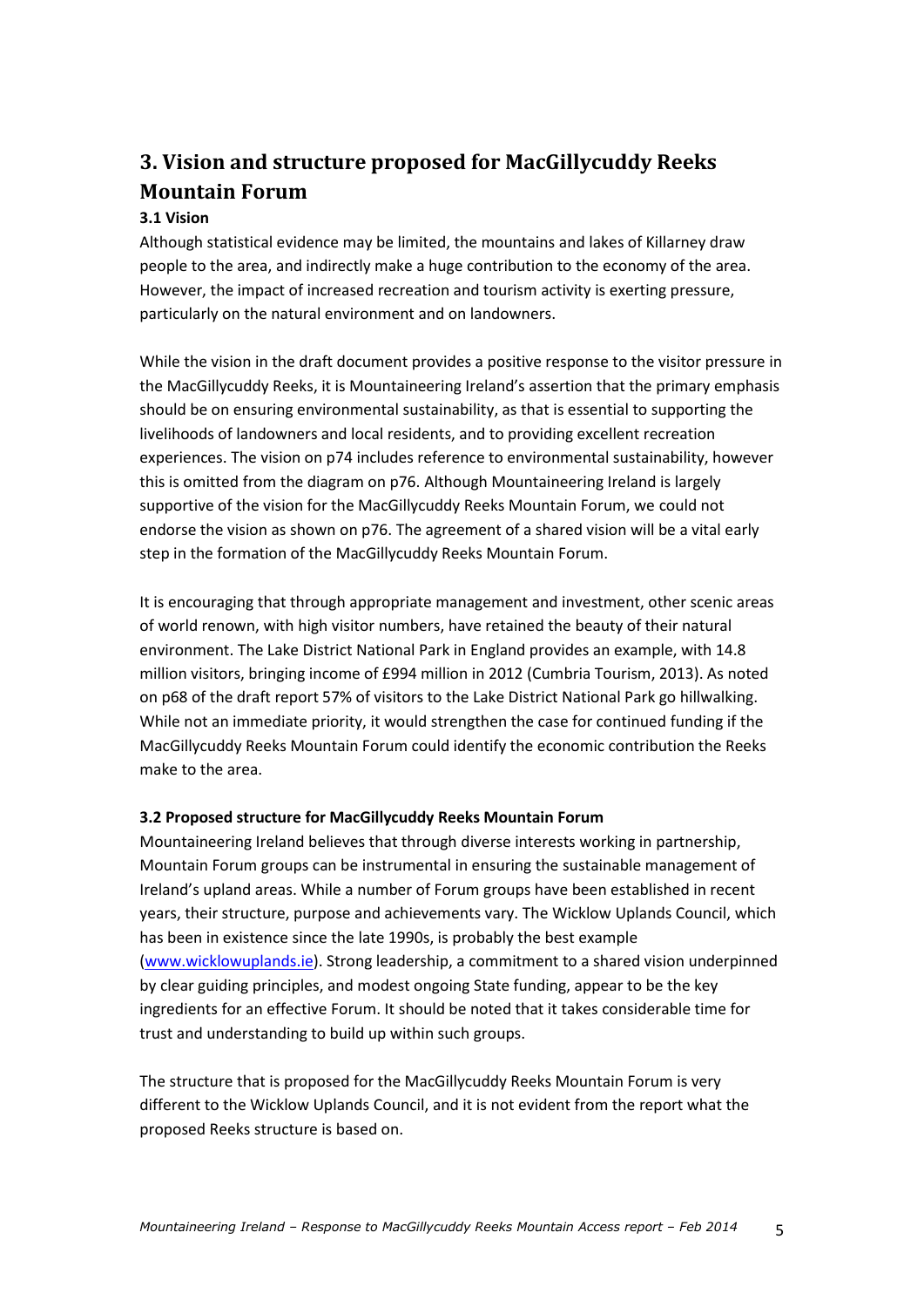### **3. Vision and structure proposed for MacGillycuddy Reeks Mountain Forum**

### **3.1 Vision**

Although statistical evidence may be limited, the mountains and lakes of Killarney draw people to the area, and indirectly make a huge contribution to the economy of the area. However, the impact of increased recreation and tourism activity is exerting pressure, particularly on the natural environment and on landowners.

While the vision in the draft document provides a positive response to the visitor pressure in the MacGillycuddy Reeks, it is Mountaineering Ireland's assertion that the primary emphasis should be on ensuring environmental sustainability, as that is essential to supporting the livelihoods of landowners and local residents, and to providing excellent recreation experiences. The vision on p74 includes reference to environmental sustainability, however this is omitted from the diagram on p76. Although Mountaineering Ireland is largely supportive of the vision for the MacGillycuddy Reeks Mountain Forum, we could not endorse the vision as shown on p76. The agreement of a shared vision will be a vital early step in the formation of the MacGillycuddy Reeks Mountain Forum.

It is encouraging that through appropriate management and investment, other scenic areas of world renown, with high visitor numbers, have retained the beauty of their natural environment. The Lake District National Park in England provides an example, with 14.8 million visitors, bringing income of £994 million in 2012 (Cumbria Tourism, 2013). As noted on p68 of the draft report 57% of visitors to the Lake District National Park go hillwalking. While not an immediate priority, it would strengthen the case for continued funding if the MacGillycuddy Reeks Mountain Forum could identify the economic contribution the Reeks make to the area.

### **3.2 Proposed structure for MacGillycuddy Reeks Mountain Forum**

Mountaineering Ireland believes that through diverse interests working in partnership, Mountain Forum groups can be instrumental in ensuring the sustainable management of Ireland's upland areas. While a number of Forum groups have been established in recent years, their structure, purpose and achievements vary. The Wicklow Uplands Council, which has been in existence since the late 1990s, is probably the best example [\(www.wicklowuplands.ie\)](http://www.wicklowuplands.ie/). Strong leadership, a commitment to a shared vision underpinned by clear guiding principles, and modest ongoing State funding, appear to be the key ingredients for an effective Forum. It should be noted that it takes considerable time for trust and understanding to build up within such groups.

The structure that is proposed for the MacGillycuddy Reeks Mountain Forum is very different to the Wicklow Uplands Council, and it is not evident from the report what the proposed Reeks structure is based on.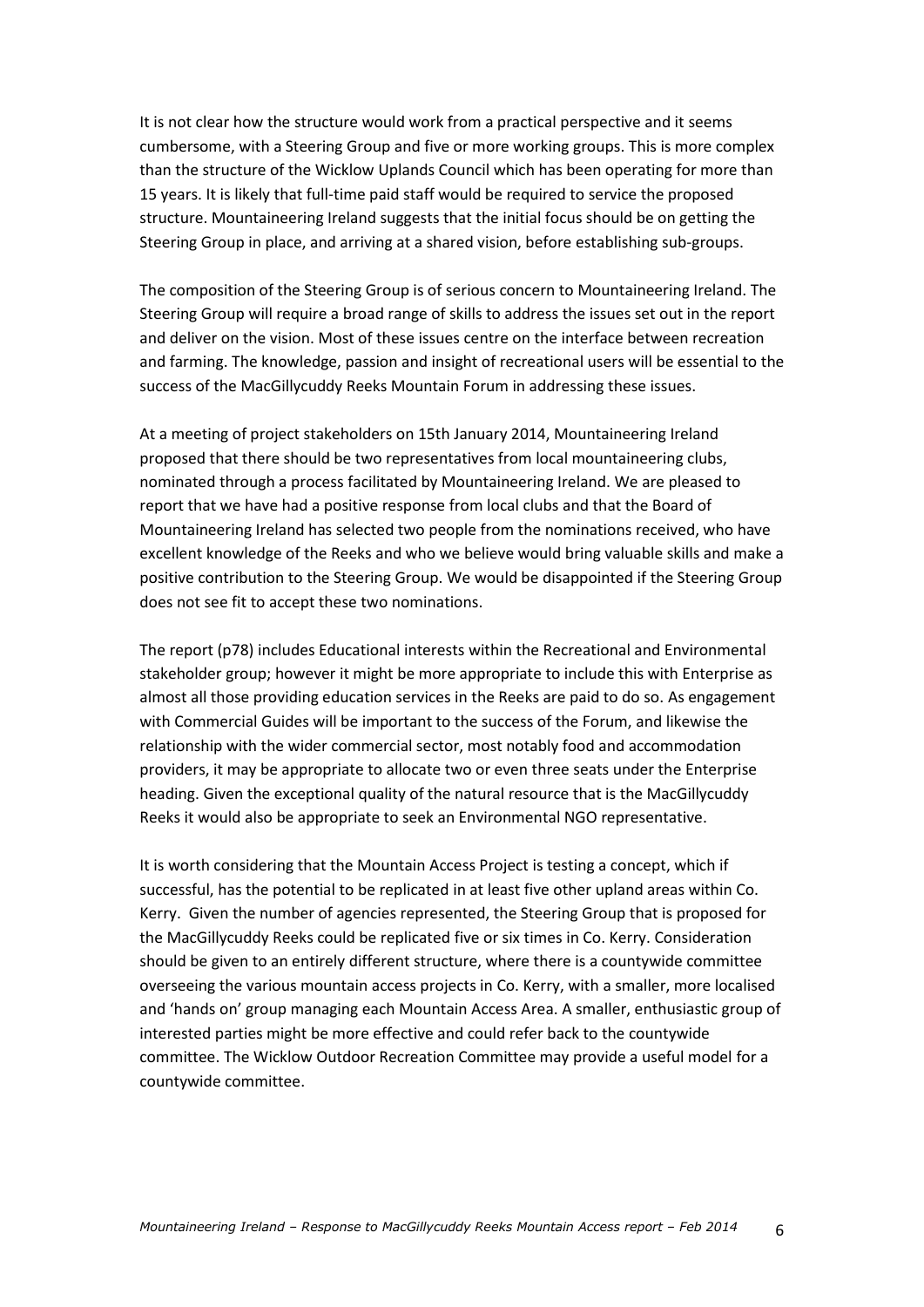It is not clear how the structure would work from a practical perspective and it seems cumbersome, with a Steering Group and five or more working groups. This is more complex than the structure of the Wicklow Uplands Council which has been operating for more than 15 years. It is likely that full-time paid staff would be required to service the proposed structure. Mountaineering Ireland suggests that the initial focus should be on getting the Steering Group in place, and arriving at a shared vision, before establishing sub-groups.

The composition of the Steering Group is of serious concern to Mountaineering Ireland. The Steering Group will require a broad range of skills to address the issues set out in the report and deliver on the vision. Most of these issues centre on the interface between recreation and farming. The knowledge, passion and insight of recreational users will be essential to the success of the MacGillycuddy Reeks Mountain Forum in addressing these issues.

At a meeting of project stakeholders on 15th January 2014, Mountaineering Ireland proposed that there should be two representatives from local mountaineering clubs, nominated through a process facilitated by Mountaineering Ireland. We are pleased to report that we have had a positive response from local clubs and that the Board of Mountaineering Ireland has selected two people from the nominations received, who have excellent knowledge of the Reeks and who we believe would bring valuable skills and make a positive contribution to the Steering Group. We would be disappointed if the Steering Group does not see fit to accept these two nominations.

The report (p78) includes Educational interests within the Recreational and Environmental stakeholder group; however it might be more appropriate to include this with Enterprise as almost all those providing education services in the Reeks are paid to do so. As engagement with Commercial Guides will be important to the success of the Forum, and likewise the relationship with the wider commercial sector, most notably food and accommodation providers, it may be appropriate to allocate two or even three seats under the Enterprise heading. Given the exceptional quality of the natural resource that is the MacGillycuddy Reeks it would also be appropriate to seek an Environmental NGO representative.

It is worth considering that the Mountain Access Project is testing a concept, which if successful, has the potential to be replicated in at least five other upland areas within Co. Kerry. Given the number of agencies represented, the Steering Group that is proposed for the MacGillycuddy Reeks could be replicated five or six times in Co. Kerry. Consideration should be given to an entirely different structure, where there is a countywide committee overseeing the various mountain access projects in Co. Kerry, with a smaller, more localised and 'hands on' group managing each Mountain Access Area. A smaller, enthusiastic group of interested parties might be more effective and could refer back to the countywide committee. The Wicklow Outdoor Recreation Committee may provide a useful model for a countywide committee.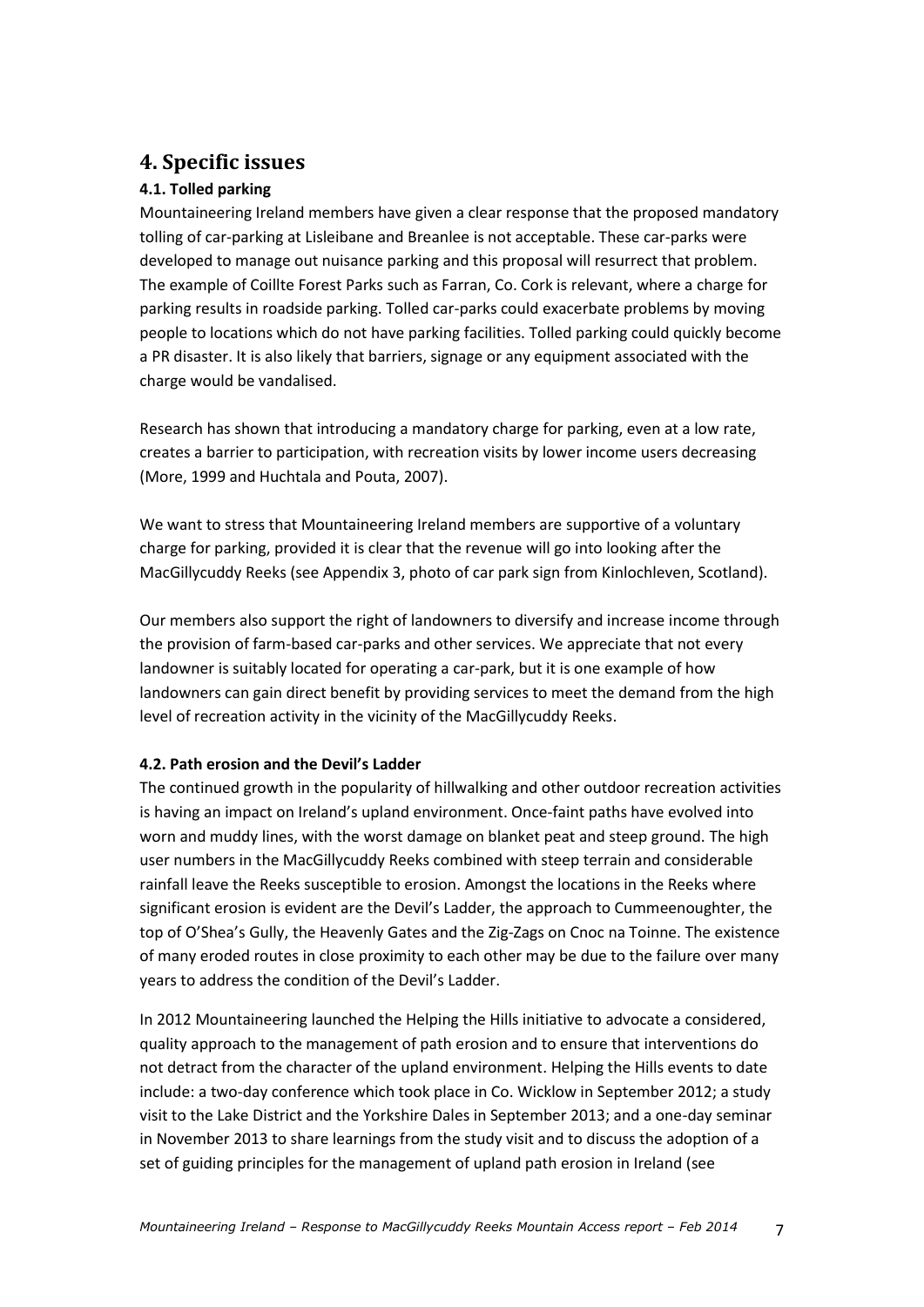### **4. Specific issues**

### **4.1. Tolled parking**

Mountaineering Ireland members have given a clear response that the proposed mandatory tolling of car-parking at Lisleibane and Breanlee is not acceptable. These car-parks were developed to manage out nuisance parking and this proposal will resurrect that problem. The example of Coillte Forest Parks such as Farran, Co. Cork is relevant, where a charge for parking results in roadside parking. Tolled car-parks could exacerbate problems by moving people to locations which do not have parking facilities. Tolled parking could quickly become a PR disaster. It is also likely that barriers, signage or any equipment associated with the charge would be vandalised.

Research has shown that introducing a mandatory charge for parking, even at a low rate, creates a barrier to participation, with recreation visits by lower income users decreasing (More, 1999 and Huchtala and Pouta, 2007).

We want to stress that Mountaineering Ireland members are supportive of a voluntary charge for parking, provided it is clear that the revenue will go into looking after the MacGillycuddy Reeks (see Appendix 3, photo of car park sign from Kinlochleven, Scotland).

Our members also support the right of landowners to diversify and increase income through the provision of farm-based car-parks and other services. We appreciate that not every landowner is suitably located for operating a car-park, but it is one example of how landowners can gain direct benefit by providing services to meet the demand from the high level of recreation activity in the vicinity of the MacGillycuddy Reeks.

### **4.2. Path erosion and the Devil's Ladder**

The continued growth in the popularity of hillwalking and other outdoor recreation activities is having an impact on Ireland's upland environment. Once-faint paths have evolved into worn and muddy lines, with the worst damage on blanket peat and steep ground. The high user numbers in the MacGillycuddy Reeks combined with steep terrain and considerable rainfall leave the Reeks susceptible to erosion. Amongst the locations in the Reeks where significant erosion is evident are the Devil's Ladder, the approach to Cummeenoughter, the top of O'Shea's Gully, the Heavenly Gates and the Zig-Zags on Cnoc na Toinne. The existence of many eroded routes in close proximity to each other may be due to the failure over many years to address the condition of the Devil's Ladder.

In 2012 Mountaineering launched the Helping the Hills initiative to advocate a considered, quality approach to the management of path erosion and to ensure that interventions do not detract from the character of the upland environment. Helping the Hills events to date include: a two-day conference which took place in Co. Wicklow in September 2012; a study visit to the Lake District and the Yorkshire Dales in September 2013; and a one-day seminar in November 2013 to share learnings from the study visit and to discuss the adoption of a set of guiding principles for the management of upland path erosion in Ireland (see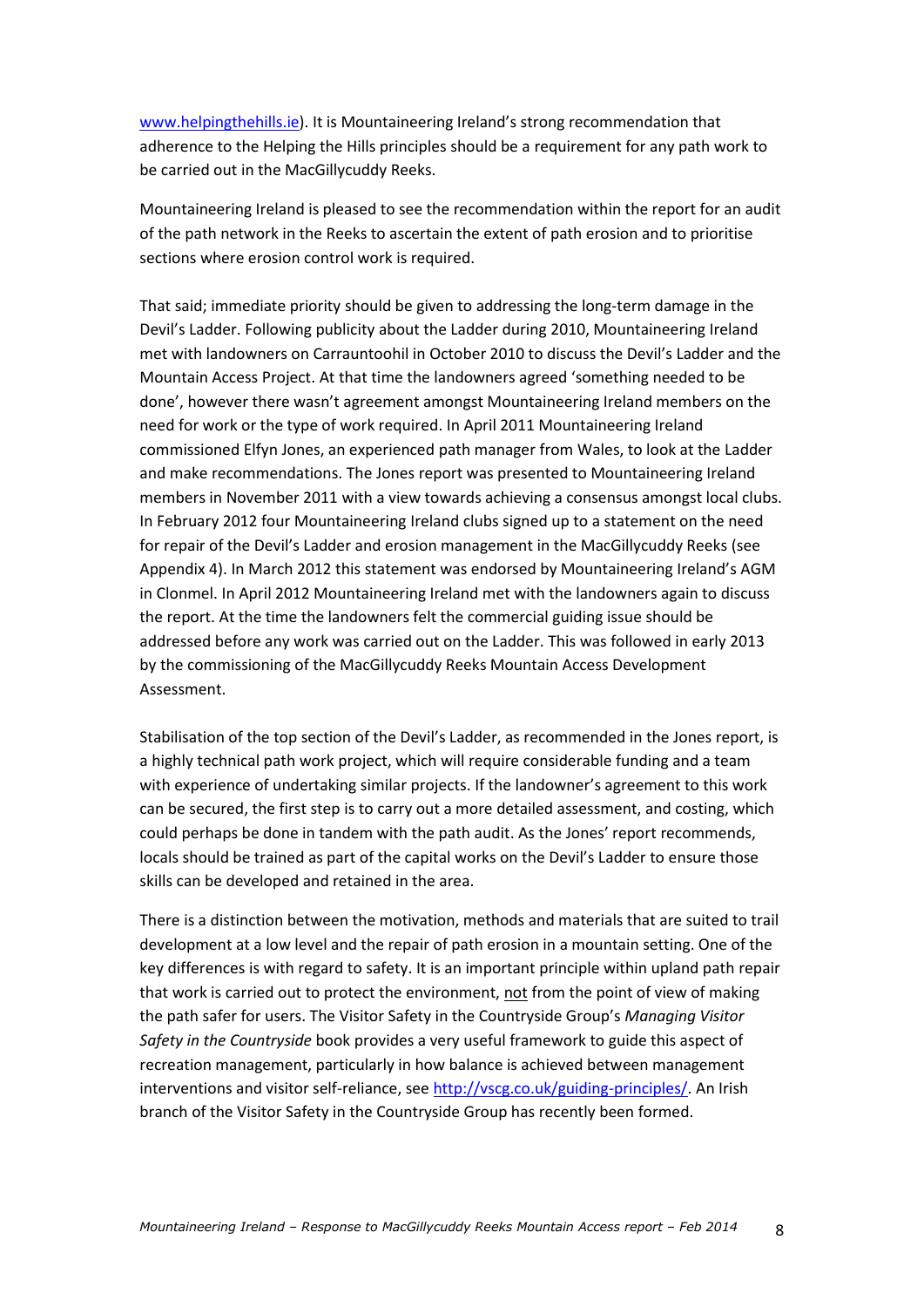[www.helpingthehills.ie\)](http://www.helpingthehills.ie/). It is Mountaineering Ireland's strong recommendation that adherence to the Helping the Hills principles should be a requirement for any path work to be carried out in the MacGillycuddy Reeks.

Mountaineering Ireland is pleased to see the recommendation within the report for an audit of the path network in the Reeks to ascertain the extent of path erosion and to prioritise sections where erosion control work is required.

That said; immediate priority should be given to addressing the long-term damage in the Devil's Ladder. Following publicity about the Ladder during 2010, Mountaineering Ireland met with landowners on Carrauntoohil in October 2010 to discuss the Devil's Ladder and the Mountain Access Project. At that time the landowners agreed 'something needed to be done', however there wasn't agreement amongst Mountaineering Ireland members on the need for work or the type of work required. In April 2011 Mountaineering Ireland commissioned Elfyn Jones, an experienced path manager from Wales, to look at the Ladder and make recommendations. The Jones report was presented to Mountaineering Ireland members in November 2011 with a view towards achieving a consensus amongst local clubs. In February 2012 four Mountaineering Ireland clubs signed up to a statement on the need for repair of the Devil's Ladder and erosion management in the MacGillycuddy Reeks (see Appendix 4). In March 2012 this statement was endorsed by Mountaineering Ireland's AGM in Clonmel. In April 2012 Mountaineering Ireland met with the landowners again to discuss the report. At the time the landowners felt the commercial guiding issue should be addressed before any work was carried out on the Ladder. This was followed in early 2013 by the commissioning of the MacGillycuddy Reeks Mountain Access Development Assessment.

Stabilisation of the top section of the Devil's Ladder, as recommended in the Jones report, is a highly technical path work project, which will require considerable funding and a team with experience of undertaking similar projects. If the landowner's agreement to this work can be secured, the first step is to carry out a more detailed assessment, and costing, which could perhaps be done in tandem with the path audit. As the Jones' report recommends, locals should be trained as part of the capital works on the Devil's Ladder to ensure those skills can be developed and retained in the area.

There is a distinction between the motivation, methods and materials that are suited to trail development at a low level and the repair of path erosion in a mountain setting. One of the key differences is with regard to safety. It is an important principle within upland path repair that work is carried out to protect the environment, not from the point of view of making the path safer for users. The Visitor Safety in the Countryside Group's *Managing Visitor Safety in the Countryside* book provides a very useful framework to guide this aspect of recreation management, particularly in how balance is achieved between management interventions and visitor self-reliance, see [http://vscg.co.uk/guiding-principles/.](http://vscg.co.uk/guiding-principles/) An Irish branch of the Visitor Safety in the Countryside Group has recently been formed.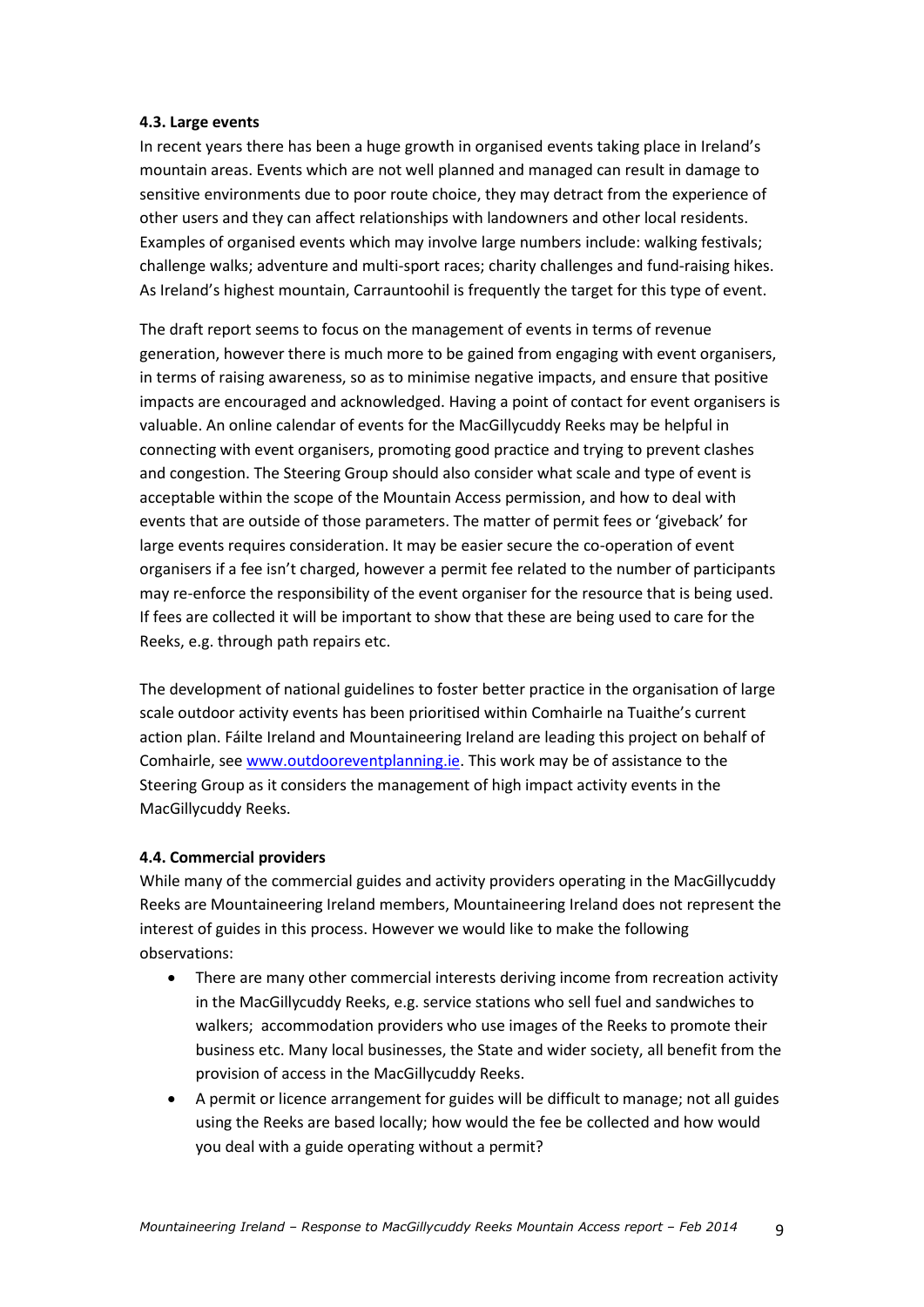#### **4.3. Large events**

In recent years there has been a huge growth in organised events taking place in Ireland's mountain areas. Events which are not well planned and managed can result in damage to sensitive environments due to poor route choice, they may detract from the experience of other users and they can affect relationships with landowners and other local residents. Examples of organised events which may involve large numbers include: walking festivals; challenge walks; adventure and multi-sport races; charity challenges and fund-raising hikes. As Ireland's highest mountain, Carrauntoohil is frequently the target for this type of event.

The draft report seems to focus on the management of events in terms of revenue generation, however there is much more to be gained from engaging with event organisers, in terms of raising awareness, so as to minimise negative impacts, and ensure that positive impacts are encouraged and acknowledged. Having a point of contact for event organisers is valuable. An online calendar of events for the MacGillycuddy Reeks may be helpful in connecting with event organisers, promoting good practice and trying to prevent clashes and congestion. The Steering Group should also consider what scale and type of event is acceptable within the scope of the Mountain Access permission, and how to deal with events that are outside of those parameters. The matter of permit fees or 'giveback' for large events requires consideration. It may be easier secure the co-operation of event organisers if a fee isn't charged, however a permit fee related to the number of participants may re-enforce the responsibility of the event organiser for the resource that is being used. If fees are collected it will be important to show that these are being used to care for the Reeks, e.g. through path repairs etc.

The development of national guidelines to foster better practice in the organisation of large scale outdoor activity events has been prioritised within Comhairle na Tuaithe's current action plan. Fáilte Ireland and Mountaineering Ireland are leading this project on behalf of Comhairle, see [www.outdooreventplanning.ie.](http://www.outdooreventplanning.ie/) This work may be of assistance to the Steering Group as it considers the management of high impact activity events in the MacGillycuddy Reeks.

#### **4.4. Commercial providers**

While many of the commercial guides and activity providers operating in the MacGillycuddy Reeks are Mountaineering Ireland members, Mountaineering Ireland does not represent the interest of guides in this process. However we would like to make the following observations:

- There are many other commercial interests deriving income from recreation activity in the MacGillycuddy Reeks, e.g. service stations who sell fuel and sandwiches to walkers; accommodation providers who use images of the Reeks to promote their business etc. Many local businesses, the State and wider society, all benefit from the provision of access in the MacGillycuddy Reeks.
- A permit or licence arrangement for guides will be difficult to manage; not all guides using the Reeks are based locally; how would the fee be collected and how would you deal with a guide operating without a permit?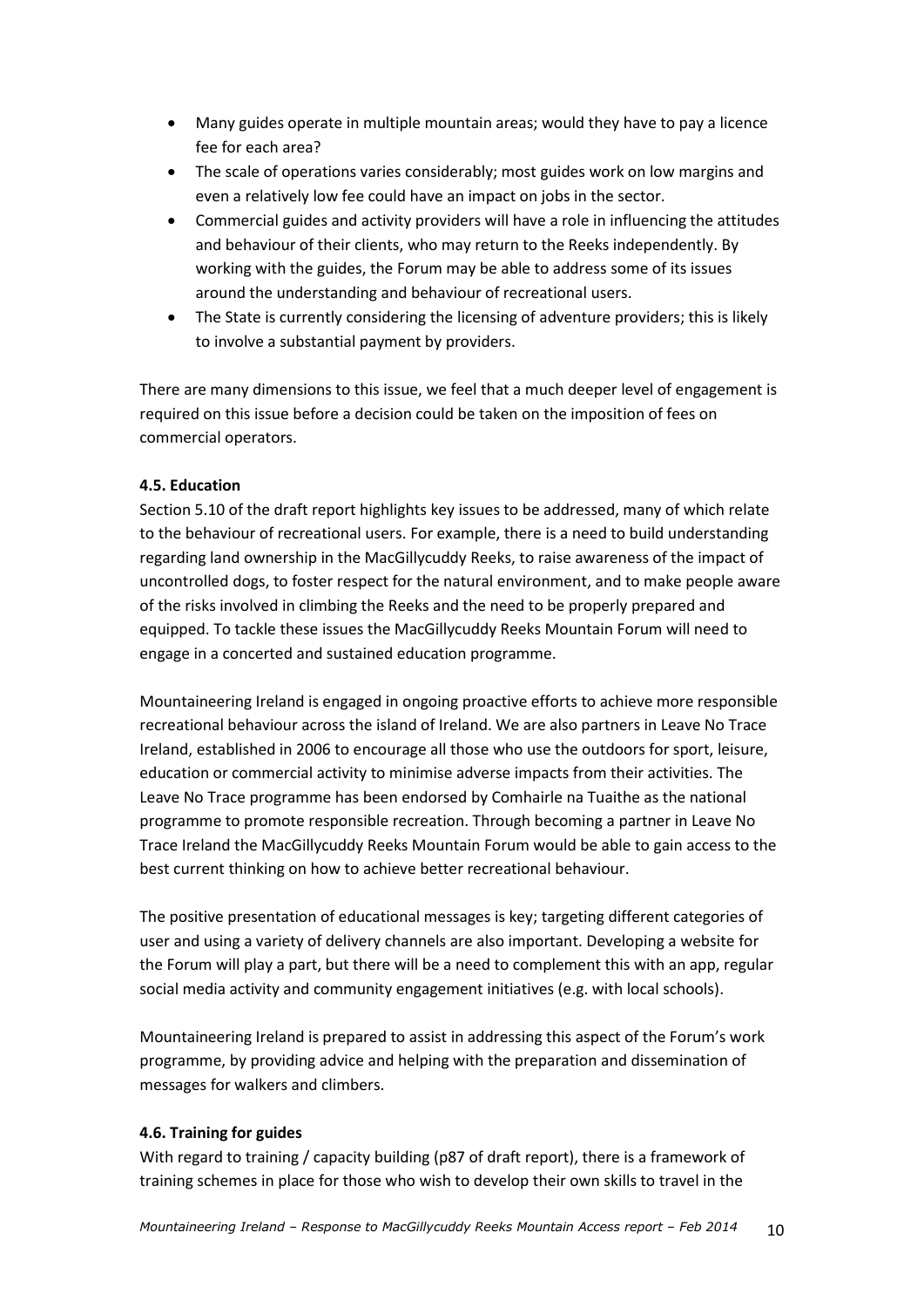- Many guides operate in multiple mountain areas; would they have to pay a licence fee for each area?
- The scale of operations varies considerably; most guides work on low margins and even a relatively low fee could have an impact on jobs in the sector.
- Commercial guides and activity providers will have a role in influencing the attitudes and behaviour of their clients, who may return to the Reeks independently. By working with the guides, the Forum may be able to address some of its issues around the understanding and behaviour of recreational users.
- The State is currently considering the licensing of adventure providers; this is likely to involve a substantial payment by providers.

There are many dimensions to this issue, we feel that a much deeper level of engagement is required on this issue before a decision could be taken on the imposition of fees on commercial operators.

### **4.5. Education**

Section 5.10 of the draft report highlights key issues to be addressed, many of which relate to the behaviour of recreational users. For example, there is a need to build understanding regarding land ownership in the MacGillycuddy Reeks, to raise awareness of the impact of uncontrolled dogs, to foster respect for the natural environment, and to make people aware of the risks involved in climbing the Reeks and the need to be properly prepared and equipped. To tackle these issues the MacGillycuddy Reeks Mountain Forum will need to engage in a concerted and sustained education programme.

Mountaineering Ireland is engaged in ongoing proactive efforts to achieve more responsible recreational behaviour across the island of Ireland. We are also partners in Leave No Trace Ireland, established in 2006 to encourage all those who use the outdoors for sport, leisure, education or commercial activity to minimise adverse impacts from their activities. The Leave No Trace programme has been endorsed by Comhairle na Tuaithe as the national programme to promote responsible recreation. Through becoming a partner in Leave No Trace Ireland the MacGillycuddy Reeks Mountain Forum would be able to gain access to the best current thinking on how to achieve better recreational behaviour.

The positive presentation of educational messages is key; targeting different categories of user and using a variety of delivery channels are also important. Developing a website for the Forum will play a part, but there will be a need to complement this with an app, regular social media activity and community engagement initiatives (e.g. with local schools).

Mountaineering Ireland is prepared to assist in addressing this aspect of the Forum's work programme, by providing advice and helping with the preparation and dissemination of messages for walkers and climbers.

#### **4.6. Training for guides**

With regard to training / capacity building (p87 of draft report), there is a framework of training schemes in place for those who wish to develop their own skills to travel in the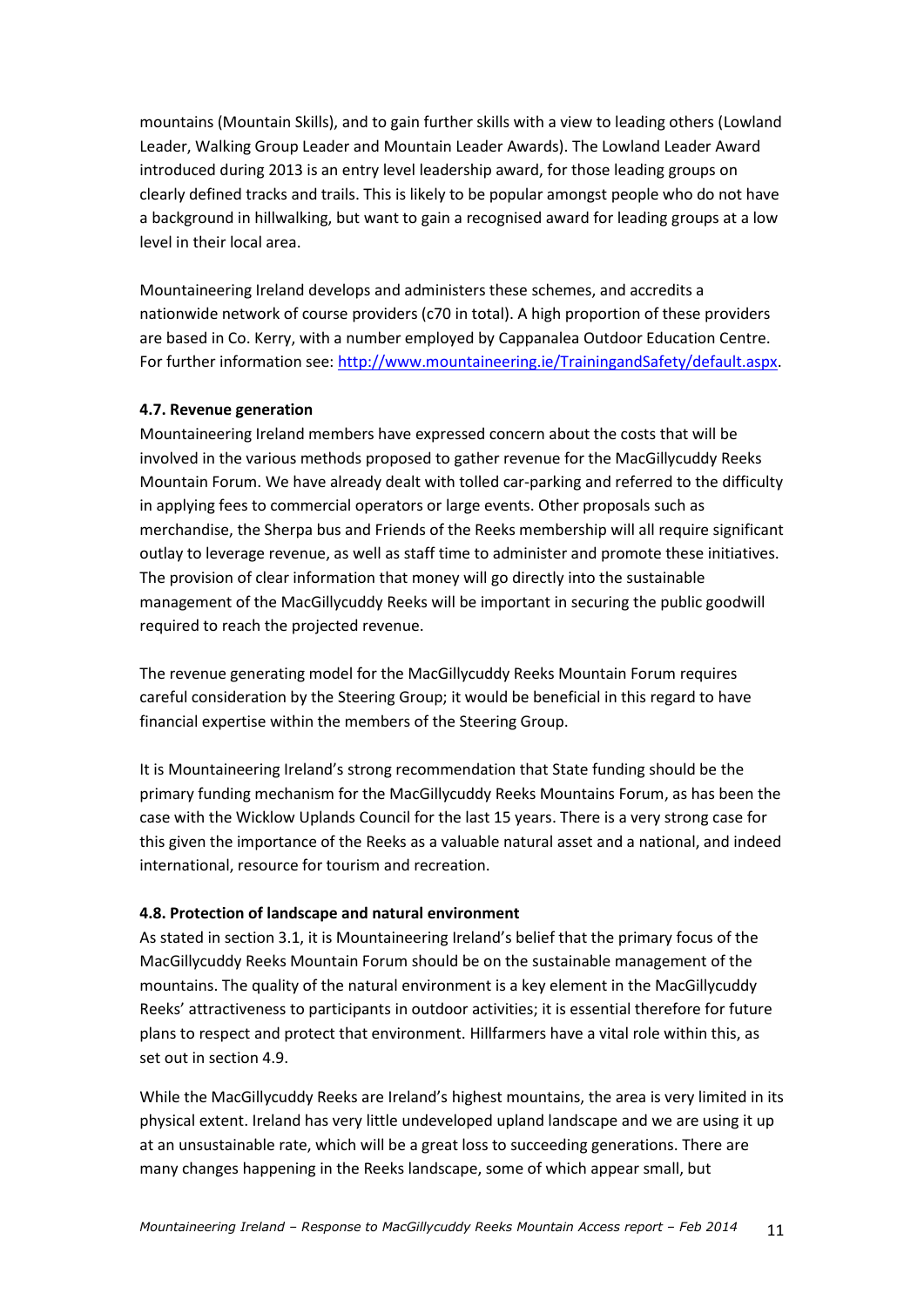mountains (Mountain Skills), and to gain further skills with a view to leading others (Lowland Leader, Walking Group Leader and Mountain Leader Awards). The Lowland Leader Award introduced during 2013 is an entry level leadership award, for those leading groups on clearly defined tracks and trails. This is likely to be popular amongst people who do not have a background in hillwalking, but want to gain a recognised award for leading groups at a low level in their local area.

Mountaineering Ireland develops and administers these schemes, and accredits a nationwide network of course providers (c70 in total). A high proportion of these providers are based in Co. Kerry, with a number employed by Cappanalea Outdoor Education Centre. For further information see[: http://www.mountaineering.ie/TrainingandSafety/default.aspx.](http://www.mountaineering.ie/TrainingandSafety/default.aspx)

#### **4.7. Revenue generation**

Mountaineering Ireland members have expressed concern about the costs that will be involved in the various methods proposed to gather revenue for the MacGillycuddy Reeks Mountain Forum. We have already dealt with tolled car-parking and referred to the difficulty in applying fees to commercial operators or large events. Other proposals such as merchandise, the Sherpa bus and Friends of the Reeks membership will all require significant outlay to leverage revenue, as well as staff time to administer and promote these initiatives. The provision of clear information that money will go directly into the sustainable management of the MacGillycuddy Reeks will be important in securing the public goodwill required to reach the projected revenue.

The revenue generating model for the MacGillycuddy Reeks Mountain Forum requires careful consideration by the Steering Group; it would be beneficial in this regard to have financial expertise within the members of the Steering Group.

It is Mountaineering Ireland's strong recommendation that State funding should be the primary funding mechanism for the MacGillycuddy Reeks Mountains Forum, as has been the case with the Wicklow Uplands Council for the last 15 years. There is a very strong case for this given the importance of the Reeks as a valuable natural asset and a national, and indeed international, resource for tourism and recreation.

#### **4.8. Protection of landscape and natural environment**

As stated in section 3.1, it is Mountaineering Ireland's belief that the primary focus of the MacGillycuddy Reeks Mountain Forum should be on the sustainable management of the mountains. The quality of the natural environment is a key element in the MacGillycuddy Reeks' attractiveness to participants in outdoor activities; it is essential therefore for future plans to respect and protect that environment. Hillfarmers have a vital role within this, as set out in section 4.9.

While the MacGillycuddy Reeks are Ireland's highest mountains, the area is very limited in its physical extent. Ireland has very little undeveloped upland landscape and we are using it up at an unsustainable rate, which will be a great loss to succeeding generations. There are many changes happening in the Reeks landscape, some of which appear small, but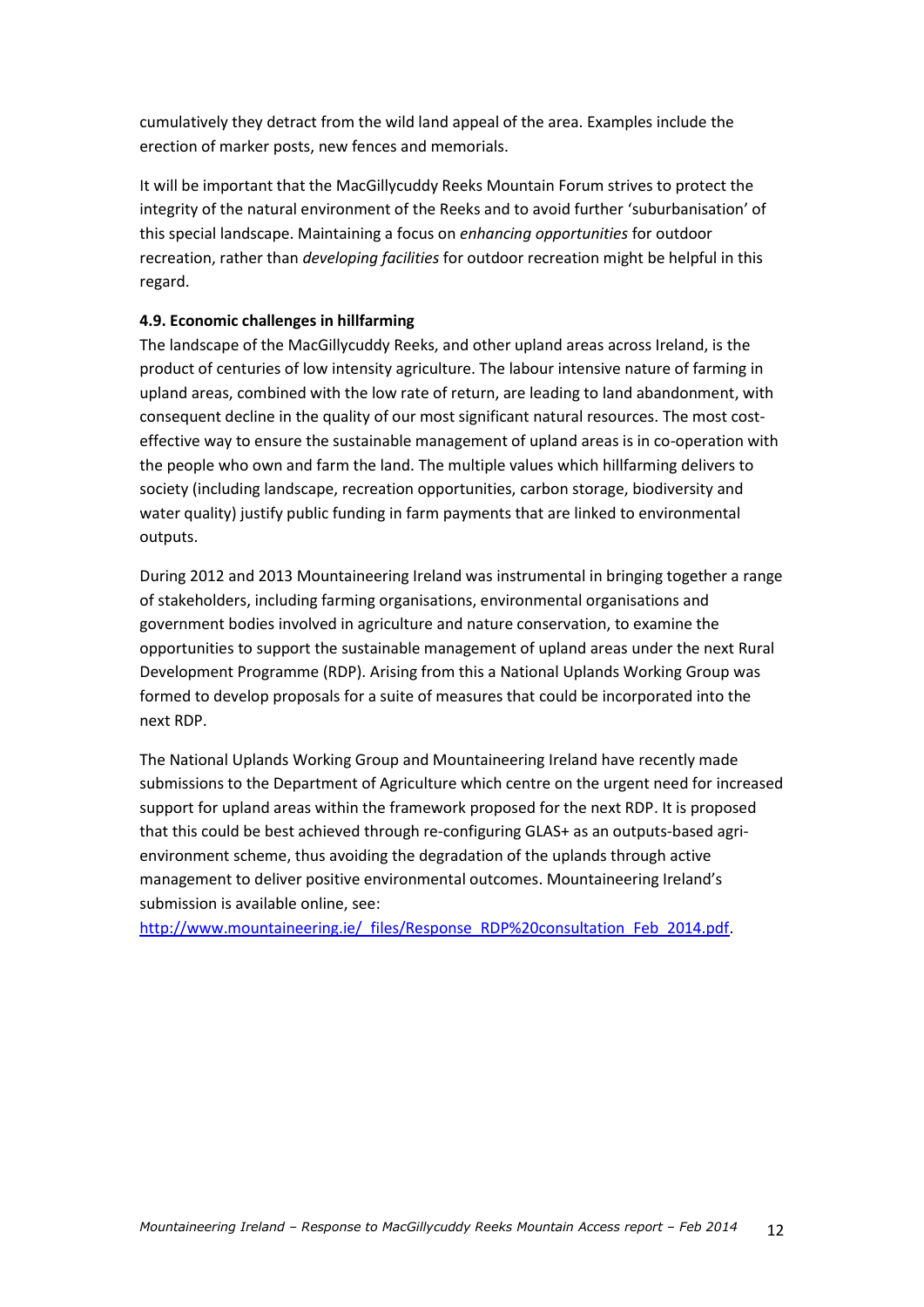cumulatively they detract from the wild land appeal of the area. Examples include the erection of marker posts, new fences and memorials.

It will be important that the MacGillycuddy Reeks Mountain Forum strives to protect the integrity of the natural environment of the Reeks and to avoid further 'suburbanisation' of this special landscape. Maintaining a focus on *enhancing opportunities* for outdoor recreation, rather than *developing facilities* for outdoor recreation might be helpful in this regard.

### **4.9. Economic challenges in hillfarming**

The landscape of the MacGillycuddy Reeks, and other upland areas across Ireland, is the product of centuries of low intensity agriculture. The labour intensive nature of farming in upland areas, combined with the low rate of return, are leading to land abandonment, with consequent decline in the quality of our most significant natural resources. The most costeffective way to ensure the sustainable management of upland areas is in co-operation with the people who own and farm the land. The multiple values which hillfarming delivers to society (including landscape, recreation opportunities, carbon storage, biodiversity and water quality) justify public funding in farm payments that are linked to environmental outputs.

During 2012 and 2013 Mountaineering Ireland was instrumental in bringing together a range of stakeholders, including farming organisations, environmental organisations and government bodies involved in agriculture and nature conservation, to examine the opportunities to support the sustainable management of upland areas under the next Rural Development Programme (RDP). Arising from this a National Uplands Working Group was formed to develop proposals for a suite of measures that could be incorporated into the next RDP.

The National Uplands Working Group and Mountaineering Ireland have recently made submissions to the Department of Agriculture which centre on the urgent need for increased support for upland areas within the framework proposed for the next RDP. It is proposed that this could be best achieved through re-configuring GLAS+ as an outputs-based agrienvironment scheme, thus avoiding the degradation of the uplands through active management to deliver positive environmental outcomes. Mountaineering Ireland's submission is available online, see:

[http://www.mountaineering.ie/\\_files/Response\\_RDP%20consultation\\_Feb\\_2014.pdf.](http://www.mountaineering.ie/_files/Response_RDP%20consultation_Feb_2014.pdf)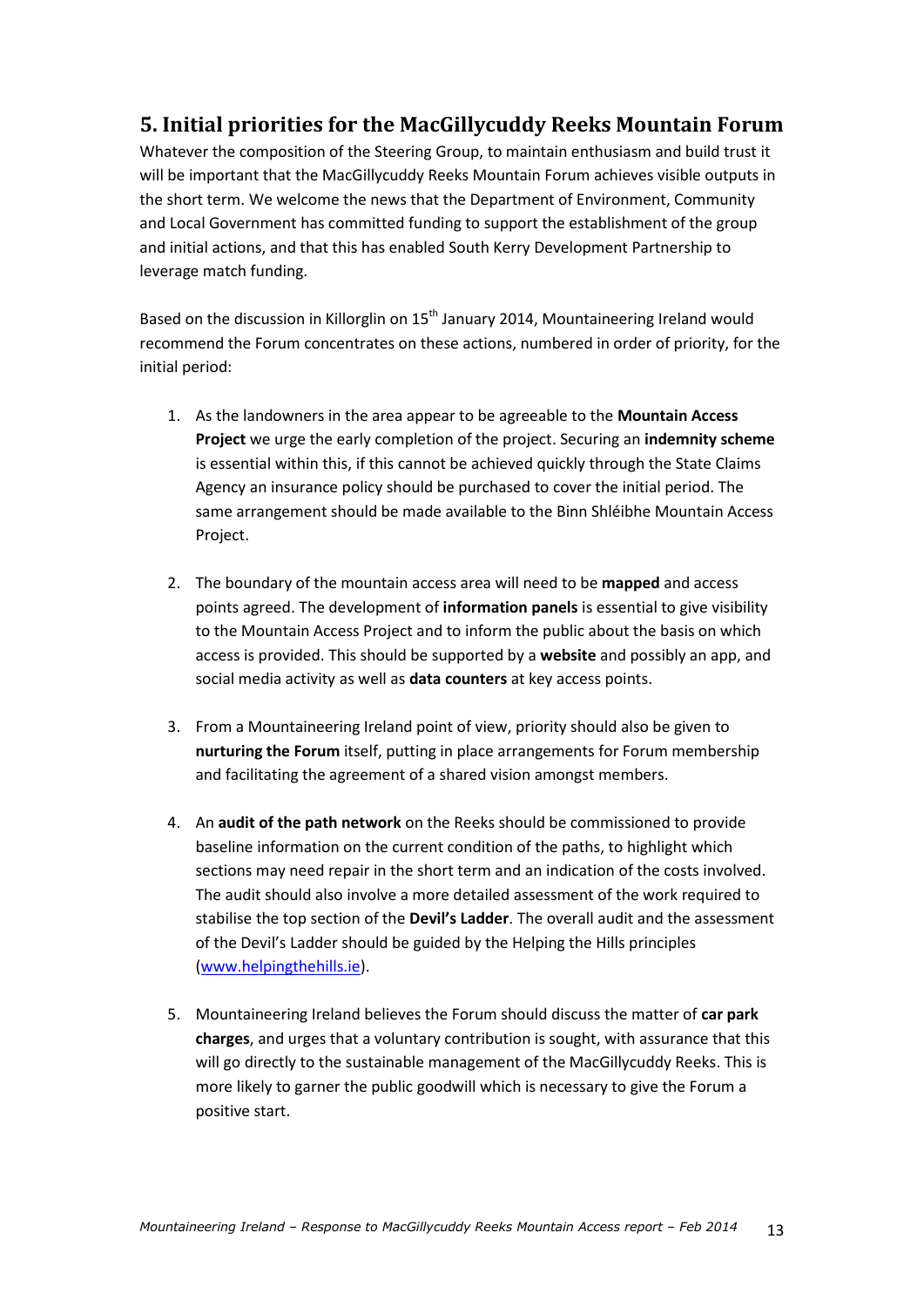### **5. Initial priorities for the MacGillycuddy Reeks Mountain Forum**

Whatever the composition of the Steering Group, to maintain enthusiasm and build trust it will be important that the MacGillycuddy Reeks Mountain Forum achieves visible outputs in the short term. We welcome the news that the Department of Environment, Community and Local Government has committed funding to support the establishment of the group and initial actions, and that this has enabled South Kerry Development Partnership to leverage match funding.

Based on the discussion in Killorglin on 15<sup>th</sup> January 2014, Mountaineering Ireland would recommend the Forum concentrates on these actions, numbered in order of priority, for the initial period:

- 1. As the landowners in the area appear to be agreeable to the **Mountain Access Project** we urge the early completion of the project. Securing an **indemnity scheme** is essential within this, if this cannot be achieved quickly through the State Claims Agency an insurance policy should be purchased to cover the initial period. The same arrangement should be made available to the Binn Shléibhe Mountain Access Project.
- 2. The boundary of the mountain access area will need to be **mapped** and access points agreed. The development of **information panels** is essential to give visibility to the Mountain Access Project and to inform the public about the basis on which access is provided. This should be supported by a **website** and possibly an app, and social media activity as well as **data counters** at key access points.
- 3. From a Mountaineering Ireland point of view, priority should also be given to **nurturing the Forum** itself, putting in place arrangements for Forum membership and facilitating the agreement of a shared vision amongst members.
- 4. An **audit of the path network** on the Reeks should be commissioned to provide baseline information on the current condition of the paths, to highlight which sections may need repair in the short term and an indication of the costs involved. The audit should also involve a more detailed assessment of the work required to stabilise the top section of the **Devil's Ladder**. The overall audit and the assessment of the Devil's Ladder should be guided by the Helping the Hills principles [\(www.helpingthehills.ie\)](http://www.helpingthehills.ie/).
- 5. Mountaineering Ireland believes the Forum should discuss the matter of **car park charges**, and urges that a voluntary contribution is sought, with assurance that this will go directly to the sustainable management of the MacGillycuddy Reeks. This is more likely to garner the public goodwill which is necessary to give the Forum a positive start.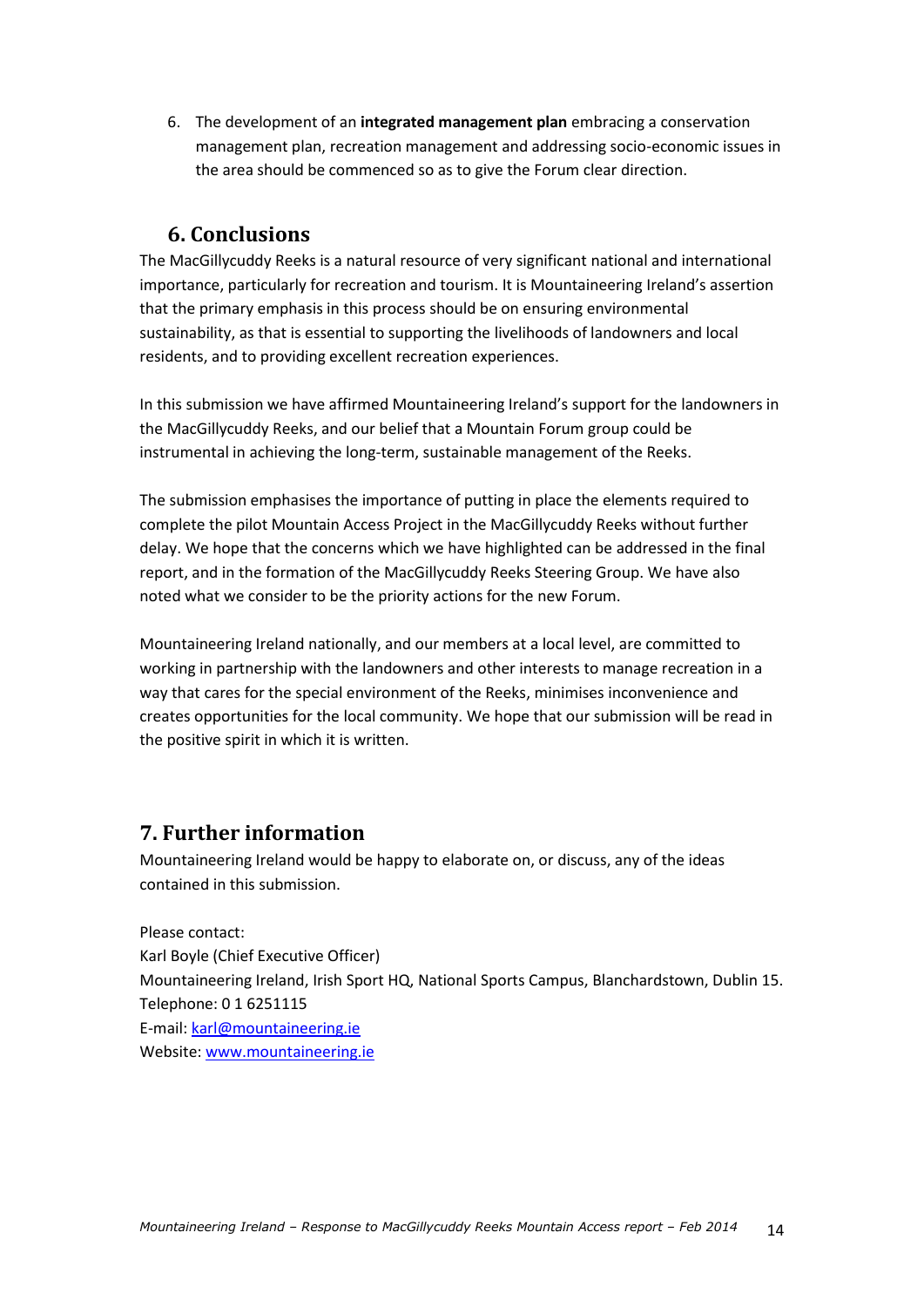6. The development of an **integrated management plan** embracing a conservation management plan, recreation management and addressing socio-economic issues in the area should be commenced so as to give the Forum clear direction.

### **6. Conclusions**

The MacGillycuddy Reeks is a natural resource of very significant national and international importance, particularly for recreation and tourism. It is Mountaineering Ireland's assertion that the primary emphasis in this process should be on ensuring environmental sustainability, as that is essential to supporting the livelihoods of landowners and local residents, and to providing excellent recreation experiences.

In this submission we have affirmed Mountaineering Ireland's support for the landowners in the MacGillycuddy Reeks, and our belief that a Mountain Forum group could be instrumental in achieving the long-term, sustainable management of the Reeks.

The submission emphasises the importance of putting in place the elements required to complete the pilot Mountain Access Project in the MacGillycuddy Reeks without further delay. We hope that the concerns which we have highlighted can be addressed in the final report, and in the formation of the MacGillycuddy Reeks Steering Group. We have also noted what we consider to be the priority actions for the new Forum.

Mountaineering Ireland nationally, and our members at a local level, are committed to working in partnership with the landowners and other interests to manage recreation in a way that cares for the special environment of the Reeks, minimises inconvenience and creates opportunities for the local community. We hope that our submission will be read in the positive spirit in which it is written.

### **7. Further information**

Mountaineering Ireland would be happy to elaborate on, or discuss, any of the ideas contained in this submission.

Please contact: Karl Boyle (Chief Executive Officer) Mountaineering Ireland, Irish Sport HQ, National Sports Campus, Blanchardstown, Dublin 15. Telephone: 0 1 6251115 E-mail: [karl@mountaineering.ie](mailto:karl@mountaineering.ie) Website[: www.mountaineering.ie](http://www.mountaineering.ie/)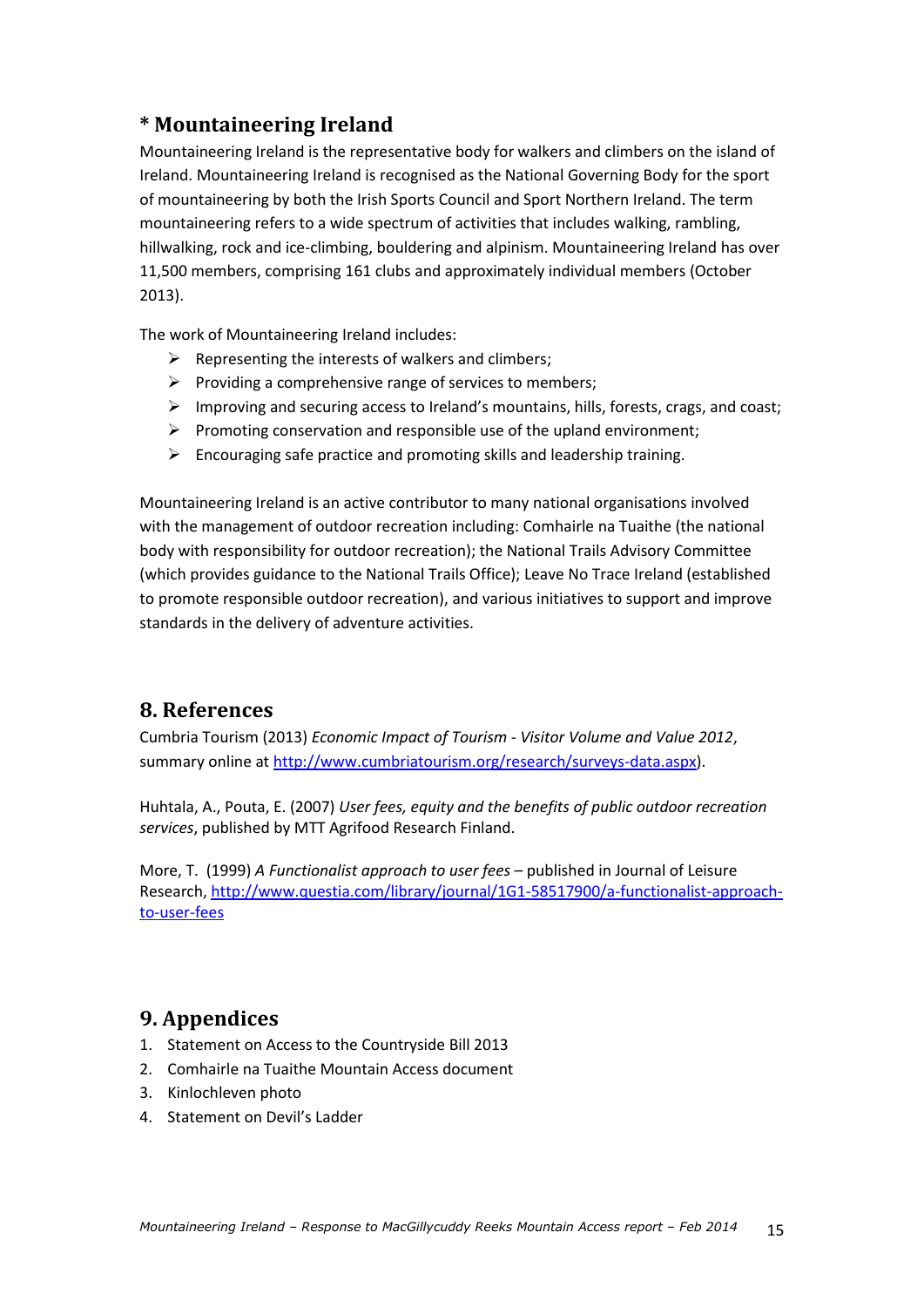### **\* Mountaineering Ireland**

Mountaineering Ireland is the representative body for walkers and climbers on the island of Ireland. Mountaineering Ireland is recognised as the National Governing Body for the sport of mountaineering by both the Irish Sports Council and Sport Northern Ireland. The term mountaineering refers to a wide spectrum of activities that includes walking, rambling, hillwalking, rock and ice-climbing, bouldering and alpinism. Mountaineering Ireland has over 11,500 members, comprising 161 clubs and approximately individual members (October 2013).

The work of Mountaineering Ireland includes:

- $\triangleright$  Representing the interests of walkers and climbers;
- $\triangleright$  Providing a comprehensive range of services to members;
- $\triangleright$  Improving and securing access to Ireland's mountains, hills, forests, crags, and coast;
- $\triangleright$  Promoting conservation and responsible use of the upland environment;
- $\triangleright$  Encouraging safe practice and promoting skills and leadership training.

Mountaineering Ireland is an active contributor to many national organisations involved with the management of outdoor recreation including: Comhairle na Tuaithe (the national body with responsibility for outdoor recreation); the National Trails Advisory Committee (which provides guidance to the National Trails Office); Leave No Trace Ireland (established to promote responsible outdoor recreation), and various initiatives to support and improve standards in the delivery of adventure activities.

### **8. References**

Cumbria Tourism (2013) *Economic Impact of Tourism - Visitor Volume and Value 2012*, summary online at [http://www.cumbriatourism.org/research/surveys-data.aspx\)](http://www.cumbriatourism.org/research/surveys-data.aspx).

Huhtala, A., Pouta, E. (2007) *User fees, equity and the benefits of public outdoor recreation services*, published by MTT Agrifood Research Finland.

More, T. (1999) *A Functionalist approach to user fees* – published in Journal of Leisure Research, [http://www.questia.com/library/journal/1G1-58517900/a-functionalist-approach](http://www.questia.com/library/journal/1G1-58517900/a-functionalist-approach-to-user-fees)[to-user-fees](http://www.questia.com/library/journal/1G1-58517900/a-functionalist-approach-to-user-fees)

### **9. Appendices**

- 1. Statement on Access to the Countryside Bill 2013
- 2. Comhairle na Tuaithe Mountain Access document
- 3. Kinlochleven photo
- 4. Statement on Devil's Ladder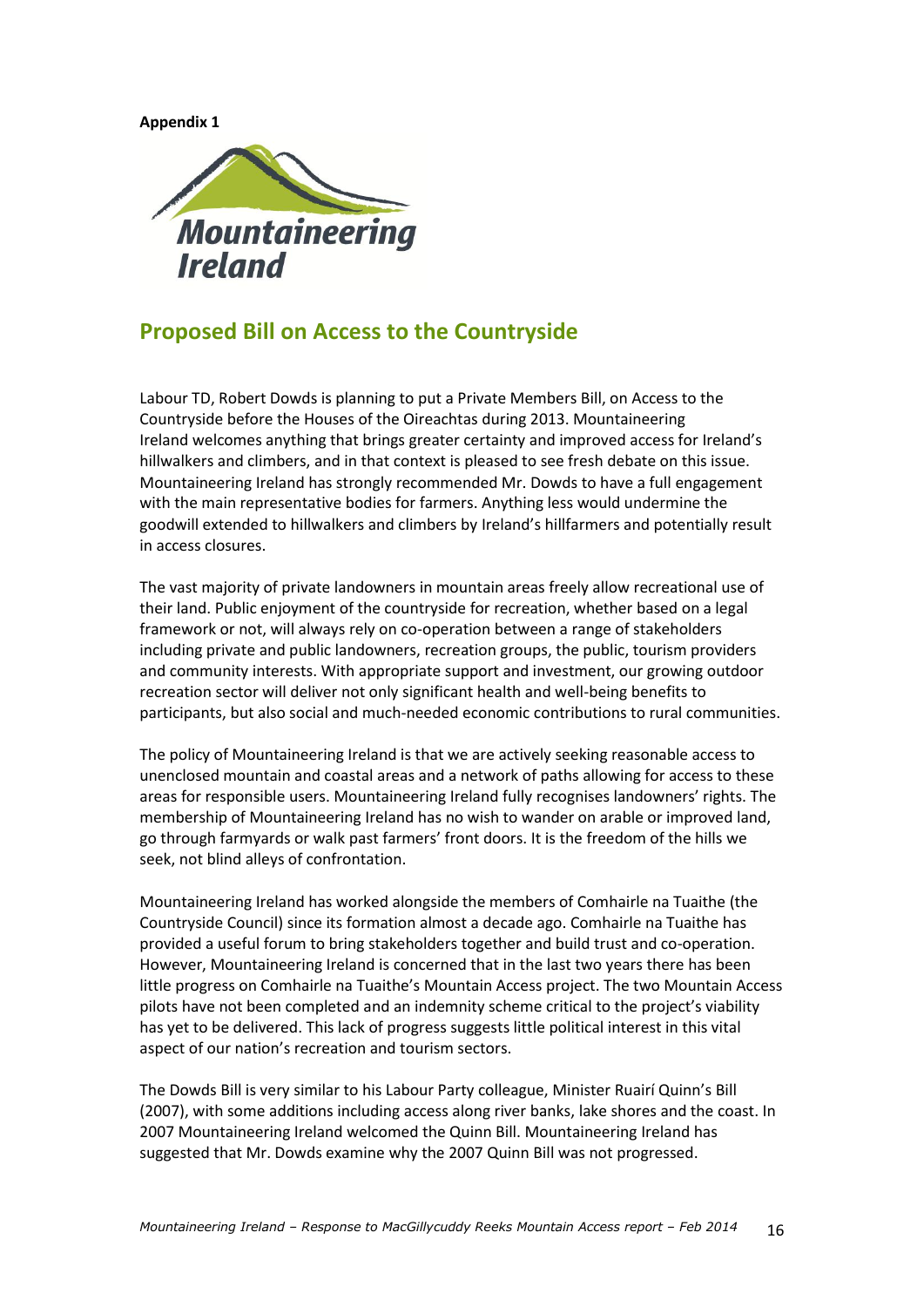**Appendix 1**



### **Proposed Bill on Access to the Countryside**

Labour TD, Robert Dowds is planning to put a Private Members Bill, on Access to the Countryside before the Houses of the Oireachtas during 2013. Mountaineering Ireland welcomes anything that brings greater certainty and improved access for Ireland's hillwalkers and climbers, and in that context is pleased to see fresh debate on this issue. Mountaineering Ireland has strongly recommended Mr. Dowds to have a full engagement with the main representative bodies for farmers. Anything less would undermine the goodwill extended to hillwalkers and climbers by Ireland's hillfarmers and potentially result in access closures.

The vast majority of private landowners in mountain areas freely allow recreational use of their land. Public enjoyment of the countryside for recreation, whether based on a legal framework or not, will always rely on co-operation between a range of stakeholders including private and public landowners, recreation groups, the public, tourism providers and community interests. With appropriate support and investment, our growing outdoor recreation sector will deliver not only significant health and well-being benefits to participants, but also social and much-needed economic contributions to rural communities.

The policy of Mountaineering Ireland is that we are actively seeking reasonable access to unenclosed mountain and coastal areas and a network of paths allowing for access to these areas for responsible users. Mountaineering Ireland fully recognises landowners' rights. The membership of Mountaineering Ireland has no wish to wander on arable or improved land, go through farmyards or walk past farmers' front doors. It is the freedom of the hills we seek, not blind alleys of confrontation.

Mountaineering Ireland has worked alongside the members of Comhairle na Tuaithe (the Countryside Council) since its formation almost a decade ago. Comhairle na Tuaithe has provided a useful forum to bring stakeholders together and build trust and co-operation. However, Mountaineering Ireland is concerned that in the last two years there has been little progress on Comhairle na Tuaithe's Mountain Access project. The two Mountain Access pilots have not been completed and an indemnity scheme critical to the project's viability has yet to be delivered. This lack of progress suggests little political interest in this vital aspect of our nation's recreation and tourism sectors.

The Dowds Bill is very similar to his Labour Party colleague, Minister Ruairí Quinn's Bill (2007), with some additions including access along river banks, lake shores and the coast. In 2007 Mountaineering Ireland welcomed the Quinn Bill. Mountaineering Ireland has suggested that Mr. Dowds examine why the 2007 Quinn Bill was not progressed.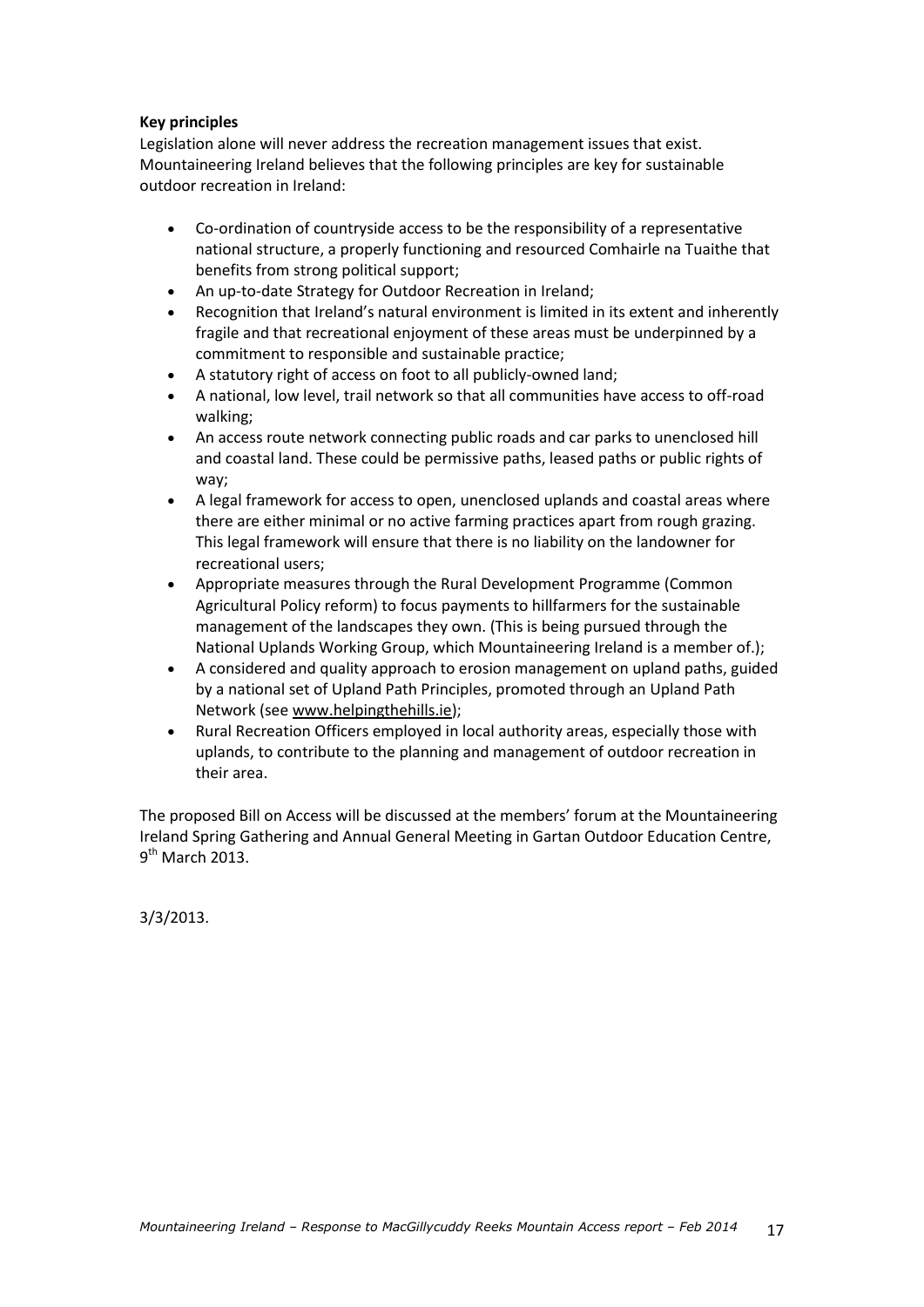#### **Key principles**

Legislation alone will never address the recreation management issues that exist. Mountaineering Ireland believes that the following principles are key for sustainable outdoor recreation in Ireland:

- Co-ordination of countryside access to be the responsibility of a representative national structure, a properly functioning and resourced Comhairle na Tuaithe that benefits from strong political support;
- An up-to-date Strategy for Outdoor Recreation in Ireland;
- Recognition that Ireland's natural environment is limited in its extent and inherently fragile and that recreational enjoyment of these areas must be underpinned by a commitment to responsible and sustainable practice;
- A statutory right of access on foot to all publicly-owned land;
- A national, low level, trail network so that all communities have access to off-road walking;
- An access route network connecting public roads and car parks to unenclosed hill and coastal land. These could be permissive paths, leased paths or public rights of way;
- A legal framework for access to open, unenclosed uplands and coastal areas where there are either minimal or no active farming practices apart from rough grazing. This legal framework will ensure that there is no liability on the landowner for recreational users;
- Appropriate measures through the Rural Development Programme (Common Agricultural Policy reform) to focus payments to hillfarmers for the sustainable management of the landscapes they own. (This is being pursued through the National Uplands Working Group, which Mountaineering Ireland is a member of.);
- A considered and quality approach to erosion management on upland paths, guided by a national set of Upland Path Principles, promoted through an Upland Path Network (see [www.helpingthehills.ie\)](http://www.helpingthehills.ie/);
- Rural Recreation Officers employed in local authority areas, especially those with uplands, to contribute to the planning and management of outdoor recreation in their area.

The proposed Bill on Access will be discussed at the members' forum at the Mountaineering Ireland Spring Gathering and Annual General Meeting in Gartan Outdoor Education Centre, 9<sup>th</sup> March 2013.

3/3/2013.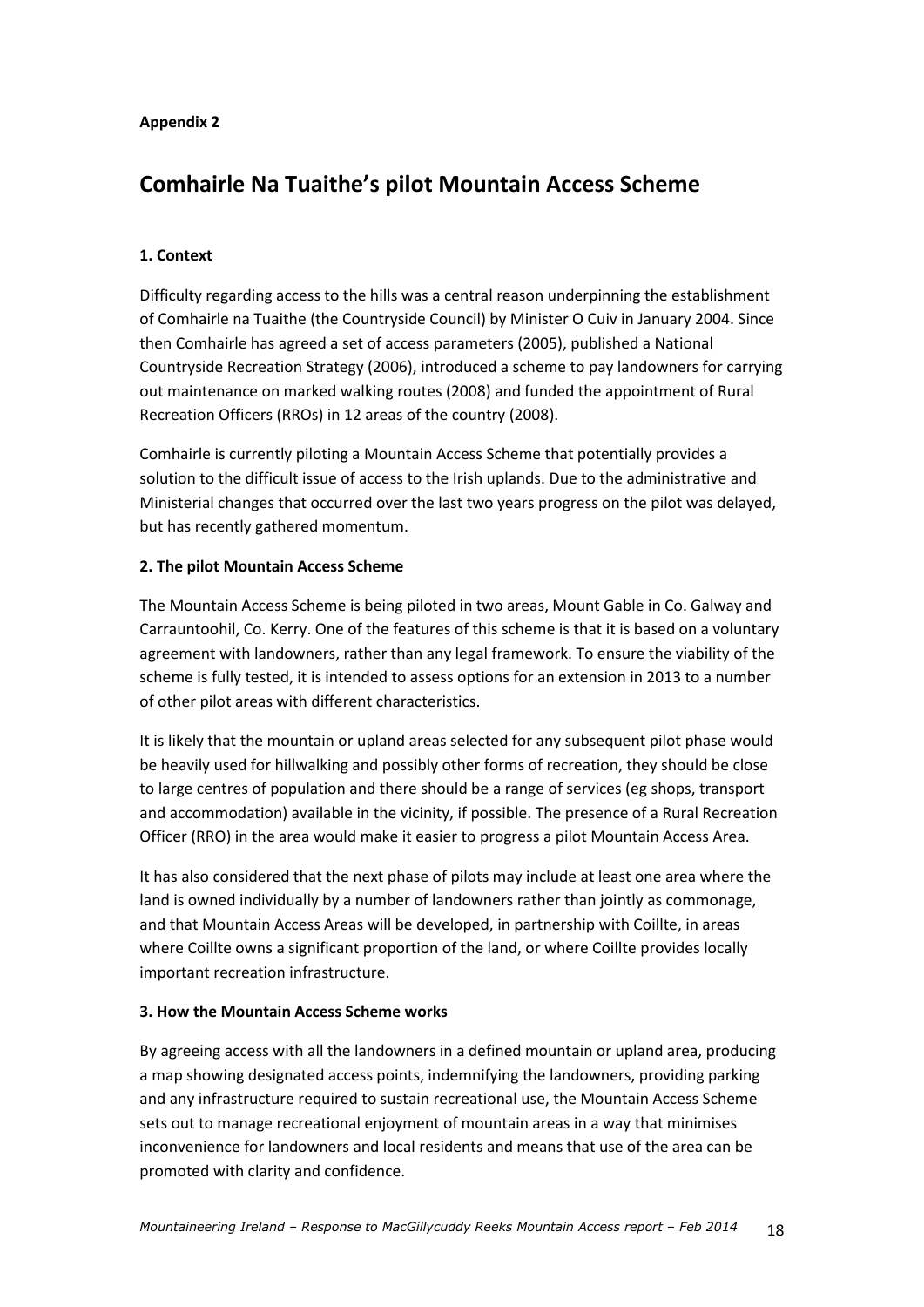#### **Appendix 2**

### **Comhairle Na Tuaithe's pilot Mountain Access Scheme**

### **1. Context**

Difficulty regarding access to the hills was a central reason underpinning the establishment of Comhairle na Tuaithe (the Countryside Council) by Minister O Cuiv in January 2004. Since then Comhairle has agreed a set of access parameters (2005), published a National Countryside Recreation Strategy (2006), introduced a scheme to pay landowners for carrying out maintenance on marked walking routes (2008) and funded the appointment of Rural Recreation Officers (RROs) in 12 areas of the country (2008).

Comhairle is currently piloting a Mountain Access Scheme that potentially provides a solution to the difficult issue of access to the Irish uplands. Due to the administrative and Ministerial changes that occurred over the last two years progress on the pilot was delayed, but has recently gathered momentum.

#### **2. The pilot Mountain Access Scheme**

The Mountain Access Scheme is being piloted in two areas, Mount Gable in Co. Galway and Carrauntoohil, Co. Kerry. One of the features of this scheme is that it is based on a voluntary agreement with landowners, rather than any legal framework. To ensure the viability of the scheme is fully tested, it is intended to assess options for an extension in 2013 to a number of other pilot areas with different characteristics.

It is likely that the mountain or upland areas selected for any subsequent pilot phase would be heavily used for hillwalking and possibly other forms of recreation, they should be close to large centres of population and there should be a range of services (eg shops, transport and accommodation) available in the vicinity, if possible. The presence of a Rural Recreation Officer (RRO) in the area would make it easier to progress a pilot Mountain Access Area.

It has also considered that the next phase of pilots may include at least one area where the land is owned individually by a number of landowners rather than jointly as commonage, and that Mountain Access Areas will be developed, in partnership with Coillte, in areas where Coillte owns a significant proportion of the land, or where Coillte provides locally important recreation infrastructure.

### **3. How the Mountain Access Scheme works**

By agreeing access with all the landowners in a defined mountain or upland area, producing a map showing designated access points, indemnifying the landowners, providing parking and any infrastructure required to sustain recreational use, the Mountain Access Scheme sets out to manage recreational enjoyment of mountain areas in a way that minimises inconvenience for landowners and local residents and means that use of the area can be promoted with clarity and confidence.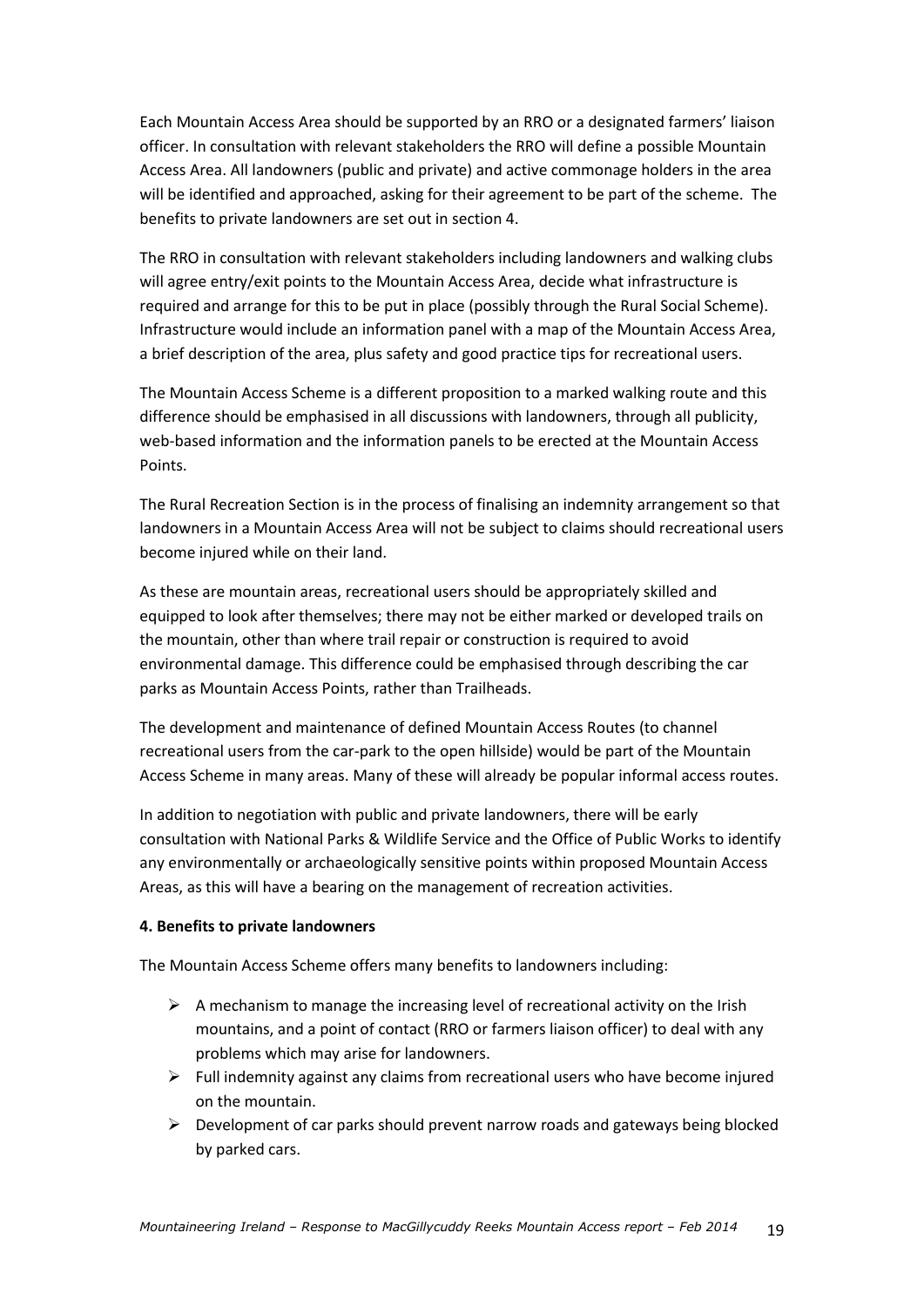Each Mountain Access Area should be supported by an RRO or a designated farmers' liaison officer. In consultation with relevant stakeholders the RRO will define a possible Mountain Access Area. All landowners (public and private) and active commonage holders in the area will be identified and approached, asking for their agreement to be part of the scheme. The benefits to private landowners are set out in section 4.

The RRO in consultation with relevant stakeholders including landowners and walking clubs will agree entry/exit points to the Mountain Access Area, decide what infrastructure is required and arrange for this to be put in place (possibly through the Rural Social Scheme). Infrastructure would include an information panel with a map of the Mountain Access Area, a brief description of the area, plus safety and good practice tips for recreational users.

The Mountain Access Scheme is a different proposition to a marked walking route and this difference should be emphasised in all discussions with landowners, through all publicity, web-based information and the information panels to be erected at the Mountain Access Points.

The Rural Recreation Section is in the process of finalising an indemnity arrangement so that landowners in a Mountain Access Area will not be subject to claims should recreational users become injured while on their land.

As these are mountain areas, recreational users should be appropriately skilled and equipped to look after themselves; there may not be either marked or developed trails on the mountain, other than where trail repair or construction is required to avoid environmental damage. This difference could be emphasised through describing the car parks as Mountain Access Points, rather than Trailheads.

The development and maintenance of defined Mountain Access Routes (to channel recreational users from the car-park to the open hillside) would be part of the Mountain Access Scheme in many areas. Many of these will already be popular informal access routes.

In addition to negotiation with public and private landowners, there will be early consultation with National Parks & Wildlife Service and the Office of Public Works to identify any environmentally or archaeologically sensitive points within proposed Mountain Access Areas, as this will have a bearing on the management of recreation activities.

#### **4. Benefits to private landowners**

The Mountain Access Scheme offers many benefits to landowners including:

- $\triangleright$  A mechanism to manage the increasing level of recreational activity on the Irish mountains, and a point of contact (RRO or farmers liaison officer) to deal with any problems which may arise for landowners.
- $\triangleright$  Full indemnity against any claims from recreational users who have become injured on the mountain.
- $\triangleright$  Development of car parks should prevent narrow roads and gateways being blocked by parked cars.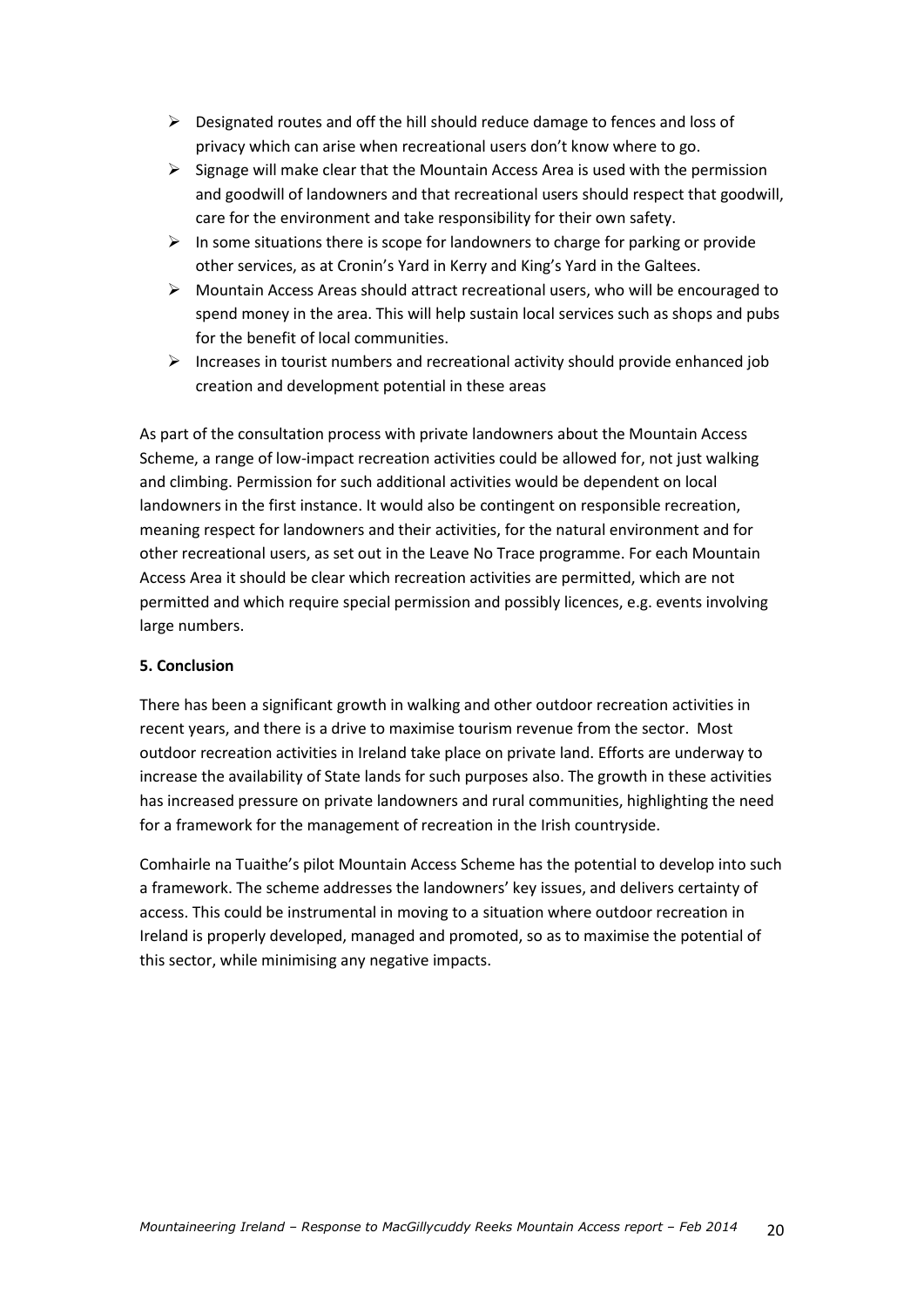- $\triangleright$  Designated routes and off the hill should reduce damage to fences and loss of privacy which can arise when recreational users don't know where to go.
- $\triangleright$  Signage will make clear that the Mountain Access Area is used with the permission and goodwill of landowners and that recreational users should respect that goodwill, care for the environment and take responsibility for their own safety.
- $\triangleright$  In some situations there is scope for landowners to charge for parking or provide other services, as at Cronin's Yard in Kerry and King's Yard in the Galtees.
- $\triangleright$  Mountain Access Areas should attract recreational users, who will be encouraged to spend money in the area. This will help sustain local services such as shops and pubs for the benefit of local communities.
- $\triangleright$  Increases in tourist numbers and recreational activity should provide enhanced job creation and development potential in these areas

As part of the consultation process with private landowners about the Mountain Access Scheme, a range of low-impact recreation activities could be allowed for, not just walking and climbing. Permission for such additional activities would be dependent on local landowners in the first instance. It would also be contingent on responsible recreation, meaning respect for landowners and their activities, for the natural environment and for other recreational users, as set out in the Leave No Trace programme. For each Mountain Access Area it should be clear which recreation activities are permitted, which are not permitted and which require special permission and possibly licences, e.g. events involving large numbers.

### **5. Conclusion**

There has been a significant growth in walking and other outdoor recreation activities in recent years, and there is a drive to maximise tourism revenue from the sector. Most outdoor recreation activities in Ireland take place on private land. Efforts are underway to increase the availability of State lands for such purposes also. The growth in these activities has increased pressure on private landowners and rural communities, highlighting the need for a framework for the management of recreation in the Irish countryside.

Comhairle na Tuaithe's pilot Mountain Access Scheme has the potential to develop into such a framework. The scheme addresses the landowners' key issues, and delivers certainty of access. This could be instrumental in moving to a situation where outdoor recreation in Ireland is properly developed, managed and promoted, so as to maximise the potential of this sector, while minimising any negative impacts.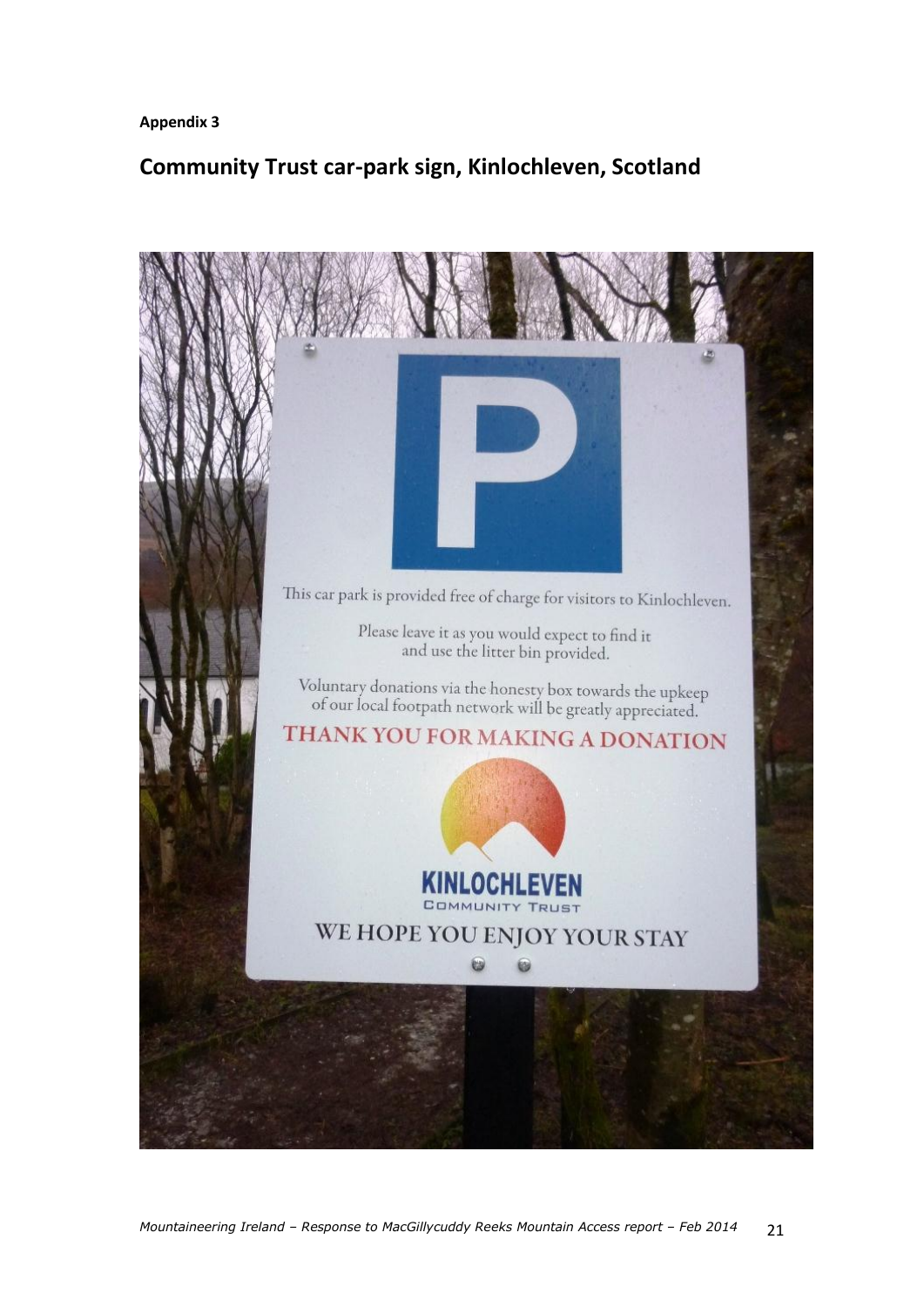**Appendix 3**

### **Community Trust car-park sign, Kinlochleven, Scotland**

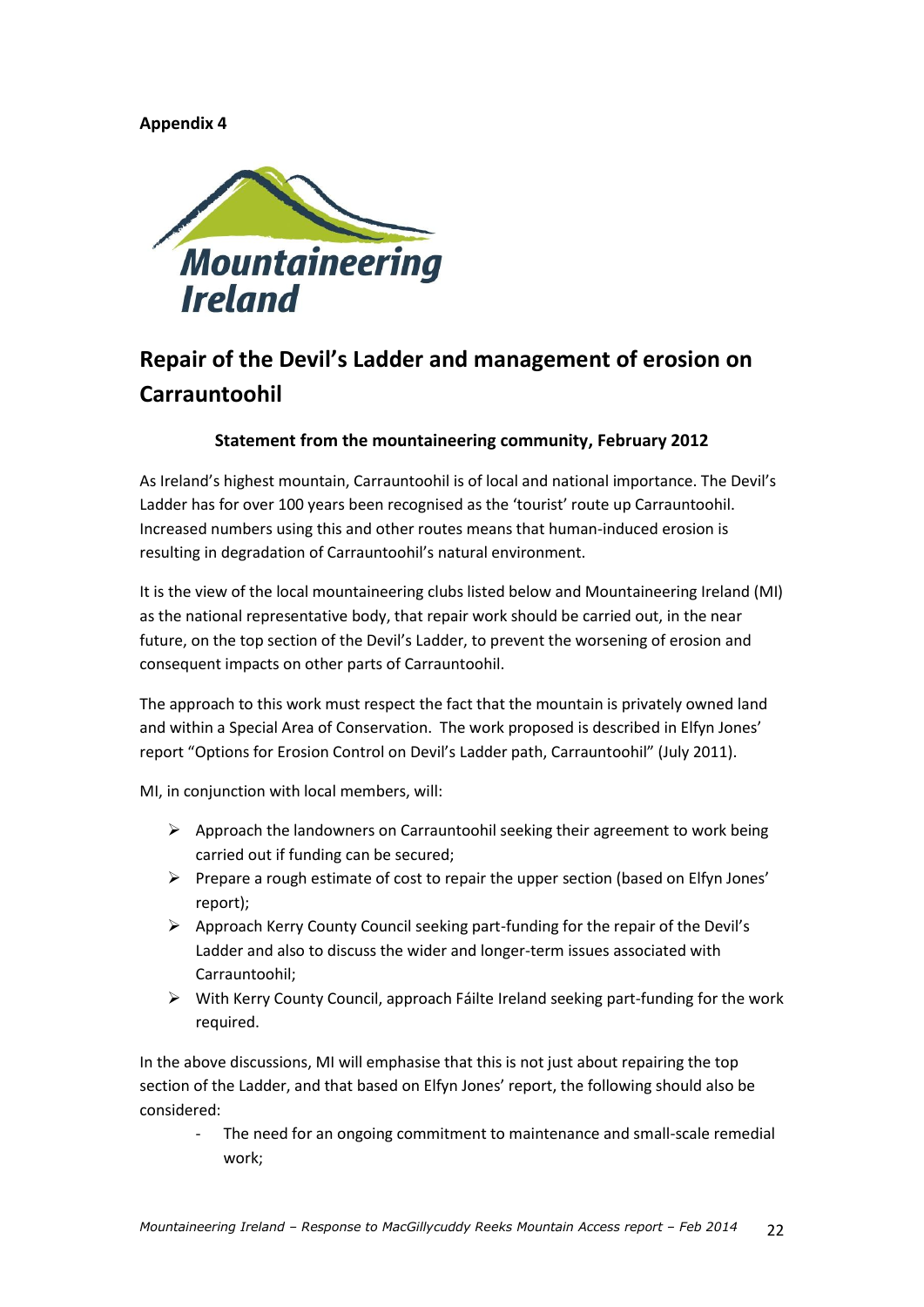### **Appendix 4**



## **Repair of the Devil's Ladder and management of erosion on Carrauntoohil**

### **Statement from the mountaineering community, February 2012**

As Ireland's highest mountain, Carrauntoohil is of local and national importance. The Devil's Ladder has for over 100 years been recognised as the 'tourist' route up Carrauntoohil. Increased numbers using this and other routes means that human-induced erosion is resulting in degradation of Carrauntoohil's natural environment.

It is the view of the local mountaineering clubs listed below and Mountaineering Ireland (MI) as the national representative body, that repair work should be carried out, in the near future, on the top section of the Devil's Ladder, to prevent the worsening of erosion and consequent impacts on other parts of Carrauntoohil.

The approach to this work must respect the fact that the mountain is privately owned land and within a Special Area of Conservation. The work proposed is described in Elfyn Jones' report "Options for Erosion Control on Devil's Ladder path, Carrauntoohil" (July 2011).

MI, in conjunction with local members, will:

- $\triangleright$  Approach the landowners on Carrauntoohil seeking their agreement to work being carried out if funding can be secured;
- $\triangleright$  Prepare a rough estimate of cost to repair the upper section (based on Elfyn Jones' report);
- $\triangleright$  Approach Kerry County Council seeking part-funding for the repair of the Devil's Ladder and also to discuss the wider and longer-term issues associated with Carrauntoohil;
- $\triangleright$  With Kerry County Council, approach Fáilte Ireland seeking part-funding for the work required.

In the above discussions, MI will emphasise that this is not just about repairing the top section of the Ladder, and that based on Elfyn Jones' report, the following should also be considered:

The need for an ongoing commitment to maintenance and small-scale remedial work;